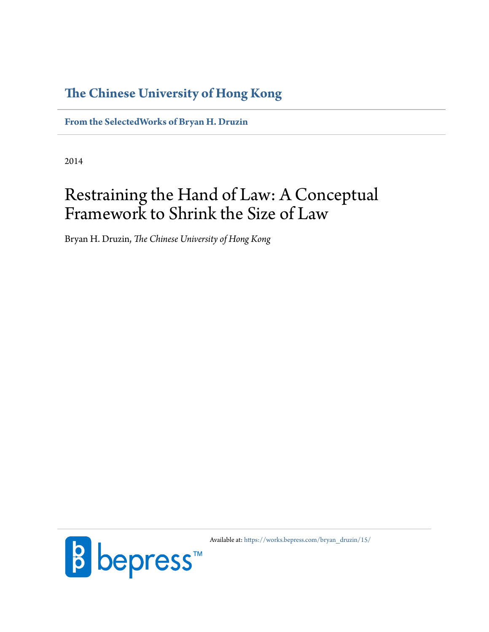## **The Chinese University of Hong Kong**

**[From the SelectedWorks of Bryan H. Druzin](https://works.bepress.com/bryan_druzin/)**

2014

# Restraining the Hand of Law: A Conceptual Framework to Shrink the Size of Law

Bryan H. Druzin, *The Chinese University of Hong Kong*



Available at: [https://works.bepress.com/bryan\\_druzin/15/](https://works.bepress.com/bryan_druzin/15/)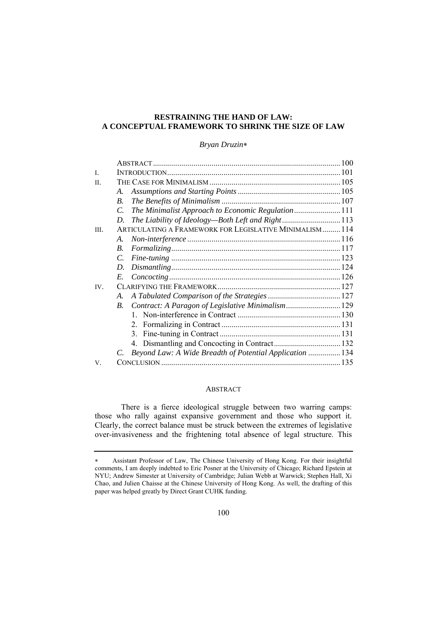### **RESTRAINING THE HAND OF LAW: A CONCEPTUAL FRAMEWORK TO SHRINK THE SIZE OF LAW**

#### *Bryan Druzin*

| $\mathbf{I}$ |                    |                                                          |  |
|--------------|--------------------|----------------------------------------------------------|--|
| II.          |                    |                                                          |  |
|              | $A_{-}$            |                                                          |  |
|              | $\boldsymbol{B}$ . |                                                          |  |
|              | $\mathcal{C}$ .    | The Minimalist Approach to Economic Regulation 111       |  |
|              | D.                 |                                                          |  |
| III.         |                    | ARTICULATING A FRAMEWORK FOR LEGISLATIVE MINIMALISM 114  |  |
|              | A.                 |                                                          |  |
|              | $\mathbf{B}$ .     |                                                          |  |
|              | $\mathcal{C}$      |                                                          |  |
|              | D.                 |                                                          |  |
|              | E.                 |                                                          |  |
| IV.          |                    |                                                          |  |
|              | A.                 |                                                          |  |
|              | $B_{\cdot}$        | Contract: A Paragon of Legislative Minimalism 129        |  |
|              |                    |                                                          |  |
|              |                    |                                                          |  |
|              |                    |                                                          |  |
|              |                    |                                                          |  |
|              | C.                 | Beyond Law: A Wide Breadth of Potential Application  134 |  |
| V.           |                    |                                                          |  |

#### ABSTRACT

There is a fierce ideological struggle between two warring camps: those who rally against expansive government and those who support it. Clearly, the correct balance must be struck between the extremes of legislative over-invasiveness and the frightening total absence of legal structure. This

Assistant Professor of Law, The Chinese University of Hong Kong. For their insightful comments, I am deeply indebted to Eric Posner at the University of Chicago; Richard Epstein at NYU; Andrew Simester at University of Cambridge; Julian Webb at Warwick; Stephen Hall, Xi Chao, and Julien Chaisse at the Chinese University of Hong Kong. As well, the drafting of this paper was helped greatly by Direct Grant CUHK funding.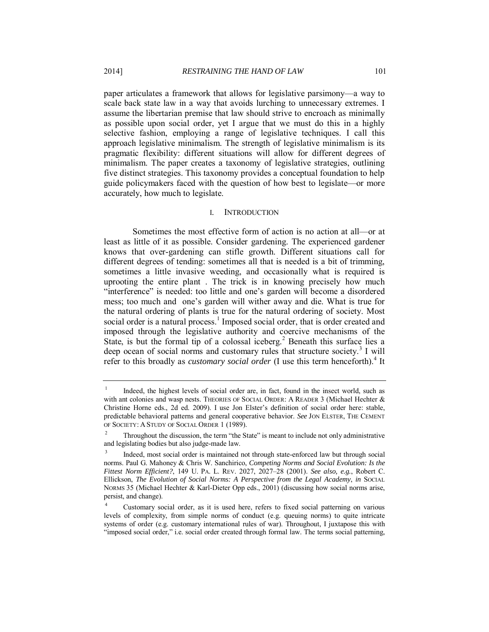paper articulates a framework that allows for legislative parsimony—a way to scale back state law in a way that avoids lurching to unnecessary extremes. I assume the libertarian premise that law should strive to encroach as minimally as possible upon social order, yet I argue that we must do this in a highly selective fashion, employing a range of legislative techniques. I call this approach legislative minimalism. The strength of legislative minimalism is its pragmatic flexibility: different situations will allow for different degrees of minimalism. The paper creates a taxonomy of legislative strategies, outlining five distinct strategies. This taxonomy provides a conceptual foundation to help guide policymakers faced with the question of how best to legislate—or more accurately, how much to legislate.

#### I. INTRODUCTION

Sometimes the most effective form of action is no action at all—or at least as little of it as possible. Consider gardening. The experienced gardener knows that over-gardening can stifle growth. Different situations call for different degrees of tending: sometimes all that is needed is a bit of trimming, sometimes a little invasive weeding, and occasionally what is required is uprooting the entire plant . The trick is in knowing precisely how much "interference" is needed: too little and one's garden will become a disordered mess; too much and one's garden will wither away and die. What is true for the natural ordering of plants is true for the natural ordering of society. Most social order is a natural process.<sup>1</sup> Imposed social order, that is order created and imposed through the legislative authority and coercive mechanisms of the State, is but the formal tip of a colossal iceberg.<sup>2</sup> Beneath this surface lies a deep ocean of social norms and customary rules that structure society.<sup>3</sup> I will refer to this broadly as *customary social order* (I use this term henceforth).<sup>4</sup> It

<sup>1</sup> Indeed, the highest levels of social order are, in fact, found in the insect world, such as with ant colonies and wasp nests. THEORIES OF SOCIAL ORDER: A READER 3 (Michael Hechter & Christine Horne eds., 2d ed. 2009). I use Jon Elster's definition of social order here: stable, predictable behavioral patterns and general cooperative behavior. *See* JON ELSTER, THE CEMENT OF SOCIETY: A STUDY OF SOCIAL ORDER 1 (1989).

<sup>2</sup> Throughout the discussion, the term "the State" is meant to include not only administrative and legislating bodies but also judge-made law.

<sup>3</sup> Indeed, most social order is maintained not through state-enforced law but through social norms. Paul G. Mahoney & Chris W. Sanchirico, *Competing Norms and Social Evolution: Is the Fittest Norm Efficient?*, 149 U. PA. L. REV. 2027, 2027–28 (2001). *See also, e.g.*, Robert C. Ellickson, *The Evolution of Social Norms: A Perspective from the Legal Academy*, *in* SOCIAL NORMS 35 (Michael Hechter & Karl-Dieter Opp eds., 2001) (discussing how social norms arise, persist, and change).

<sup>4</sup> Customary social order, as it is used here, refers to fixed social patterning on various levels of complexity, from simple norms of conduct (e.g. queuing norms) to quite intricate systems of order (e.g. customary international rules of war). Throughout, I juxtapose this with "imposed social order," i.e. social order created through formal law. The terms social patterning,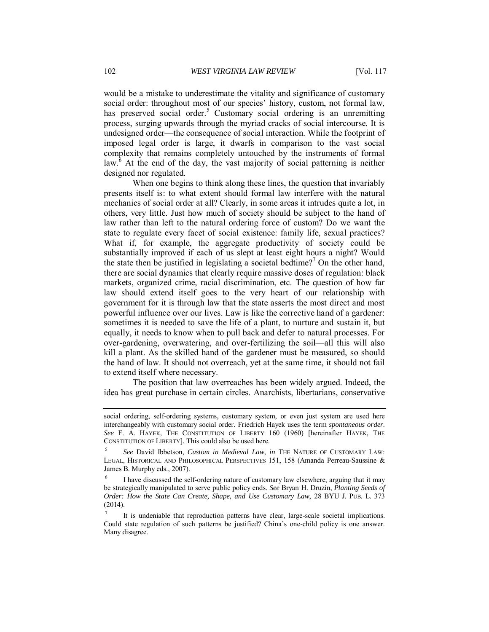would be a mistake to underestimate the vitality and significance of customary social order: throughout most of our species' history, custom, not formal law, has preserved social order.<sup>5</sup> Customary social ordering is an unremitting process, surging upwards through the myriad cracks of social intercourse. It is undesigned order—the consequence of social interaction. While the footprint of imposed legal order is large, it dwarfs in comparison to the vast social complexity that remains completely untouched by the instruments of formal law. $\delta$  At the end of the day, the vast majority of social patterning is neither designed nor regulated.

When one begins to think along these lines, the question that invariably presents itself is: to what extent should formal law interfere with the natural mechanics of social order at all? Clearly, in some areas it intrudes quite a lot, in others, very little. Just how much of society should be subject to the hand of law rather than left to the natural ordering force of custom? Do we want the state to regulate every facet of social existence: family life, sexual practices? What if, for example, the aggregate productivity of society could be substantially improved if each of us slept at least eight hours a night? Would the state then be justified in legislating a societal bedtime?<sup>7</sup> On the other hand, there are social dynamics that clearly require massive doses of regulation: black markets, organized crime, racial discrimination, etc. The question of how far law should extend itself goes to the very heart of our relationship with government for it is through law that the state asserts the most direct and most powerful influence over our lives. Law is like the corrective hand of a gardener: sometimes it is needed to save the life of a plant, to nurture and sustain it, but equally, it needs to know when to pull back and defer to natural processes. For over-gardening, overwatering, and over-fertilizing the soil—all this will also kill a plant. As the skilled hand of the gardener must be measured, so should the hand of law. It should not overreach, yet at the same time, it should not fail to extend itself where necessary.

The position that law overreaches has been widely argued. Indeed, the idea has great purchase in certain circles. Anarchists, libertarians, conservative

social ordering, self-ordering systems, customary system, or even just system are used here interchangeably with customary social order. Friedrich Hayek uses the term *spontaneous order*. *See* F. A. HAYEK, THE CONSTITUTION OF LIBERTY 160 (1960) [hereinafter HAYEK, THE CONSTITUTION OF LIBERTY]. This could also be used here.

<sup>5</sup> *See* David Ibbetson, *Custom in Medieval Law*, *in* THE NATURE OF CUSTOMARY LAW: LEGAL, HISTORICAL AND PHILOSOPHICAL PERSPECTIVES 151, 158 (Amanda Perreau-Saussine & James B. Murphy eds., 2007).

<sup>6</sup> I have discussed the self-ordering nature of customary law elsewhere, arguing that it may be strategically manipulated to serve public policy ends. *See* Bryan H. Druzin, *Planting Seeds of Order: How the State Can Create, Shape, and Use Customary Law*, 28 BYU J. PUB. L. 373 (2014).

<sup>7</sup> It is undeniable that reproduction patterns have clear, large-scale societal implications. Could state regulation of such patterns be justified? China's one-child policy is one answer. Many disagree.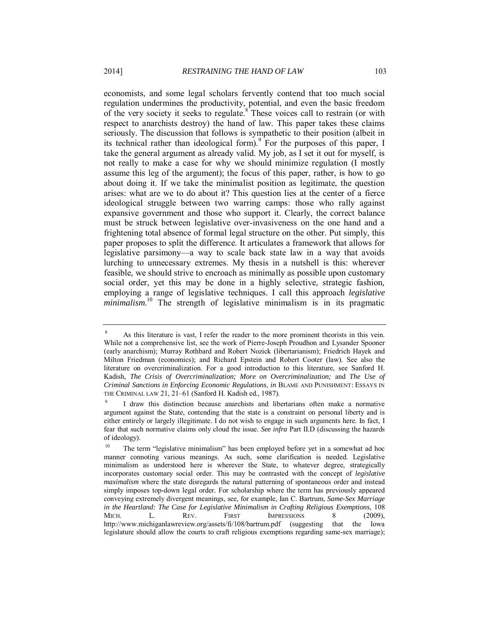economists, and some legal scholars fervently contend that too much social regulation undermines the productivity, potential, and even the basic freedom of the very society it seeks to regulate. $8^{\circ}$  These voices call to restrain (or with respect to anarchists destroy) the hand of law. This paper takes these claims seriously. The discussion that follows is sympathetic to their position (albeit in its technical rather than ideological form). For the purposes of this paper, I take the general argument as already valid. My job, as I set it out for myself, is not really to make a case for why we should minimize regulation (I mostly assume this leg of the argument); the focus of this paper, rather, is how to go about doing it. If we take the minimalist position as legitimate, the question arises: what are we to do about it? This question lies at the center of a fierce ideological struggle between two warring camps: those who rally against expansive government and those who support it. Clearly, the correct balance must be struck between legislative over-invasiveness on the one hand and a frightening total absence of formal legal structure on the other. Put simply, this paper proposes to split the difference. It articulates a framework that allows for legislative parsimony—a way to scale back state law in a way that avoids lurching to unnecessary extremes. My thesis in a nutshell is this: wherever feasible, we should strive to encroach as minimally as possible upon customary social order, yet this may be done in a highly selective, strategic fashion, employing a range of legislative techniques. I call this approach *legislative*  minimalism.<sup>10</sup> The strength of legislative minimalism is in its pragmatic

<sup>8</sup> As this literature is vast, I refer the reader to the more prominent theorists in this vein. While not a comprehensive list, see the work of Pierre-Joseph Proudhon and Lysander Spooner (early anarchism); Murray Rothbard and Robert Nozick (libertarianism); Friedrich Hayek and Milton Friedman (economics); and Richard Epstein and Robert Cooter (law). See also the literature on overcriminalization. For a good introduction to this literature, see Sanford H. Kadish, *The Crisis of Overcriminalization; More on Overcriminalization;* and *The Use of Criminal Sanctions in Enforcing Economic Regulations*, *in* BLAME AND PUNISHMENT: ESSAYS IN THE CRIMINAL LAW 21, 21–61 (Sanford H. Kadish ed., 1987).

<sup>9</sup> I draw this distinction because anarchists and libertarians often make a normative argument against the State, contending that the state is a constraint on personal liberty and is either entirely or largely illegitimate. I do not wish to engage in such arguments here. In fact, I fear that such normative claims only cloud the issue. *See infra* Part II.D (discussing the hazards of ideology).

<sup>&</sup>lt;sup>10</sup> The term "legislative minimalism" has been employed before yet in a somewhat ad hoc manner connoting various meanings. As such, some clarification is needed. Legislative minimalism as understood here is wherever the State, to whatever degree, strategically incorporates customary social order. This may be contrasted with the concept of *legislative maximalism* where the state disregards the natural patterning of spontaneous order and instead simply imposes top-down legal order. For scholarship where the term has previously appeared conveying extremely divergent meanings, see, for example, Ian C. Bartrum, *Same-Sex Marriage in the Heartland: The Case for Legislative Minimalism in Crafting Religious Exemptions*, 108 MICH. L. REV. FIRST IMPRESSIONS 8 (2009), http://www.michiganlawreview.org/assets/fi/108/bartrum.pdf (suggesting that the Iowa legislature should allow the courts to craft religious exemptions regarding same-sex marriage);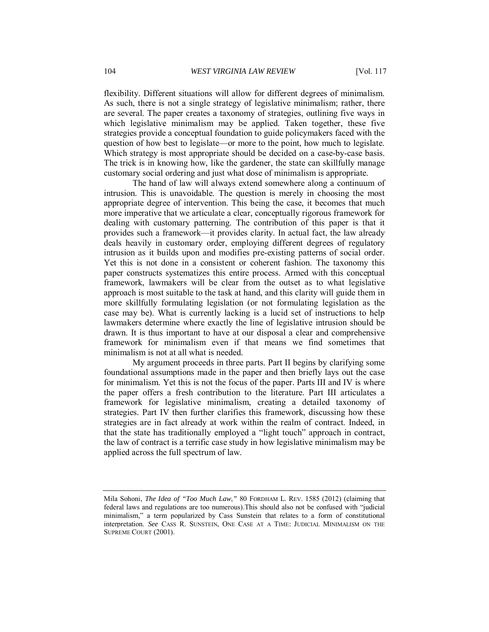flexibility. Different situations will allow for different degrees of minimalism. As such, there is not a single strategy of legislative minimalism; rather, there are several. The paper creates a taxonomy of strategies, outlining five ways in which legislative minimalism may be applied. Taken together, these five strategies provide a conceptual foundation to guide policymakers faced with the question of how best to legislate—or more to the point, how much to legislate. Which strategy is most appropriate should be decided on a case-by-case basis. The trick is in knowing how, like the gardener, the state can skillfully manage customary social ordering and just what dose of minimalism is appropriate.

The hand of law will always extend somewhere along a continuum of intrusion. This is unavoidable. The question is merely in choosing the most appropriate degree of intervention. This being the case, it becomes that much more imperative that we articulate a clear, conceptually rigorous framework for dealing with customary patterning. The contribution of this paper is that it provides such a framework—it provides clarity. In actual fact, the law already deals heavily in customary order, employing different degrees of regulatory intrusion as it builds upon and modifies pre-existing patterns of social order. Yet this is not done in a consistent or coherent fashion. The taxonomy this paper constructs systematizes this entire process. Armed with this conceptual framework, lawmakers will be clear from the outset as to what legislative approach is most suitable to the task at hand, and this clarity will guide them in more skillfully formulating legislation (or not formulating legislation as the case may be). What is currently lacking is a lucid set of instructions to help lawmakers determine where exactly the line of legislative intrusion should be drawn. It is thus important to have at our disposal a clear and comprehensive framework for minimalism even if that means we find sometimes that minimalism is not at all what is needed.

My argument proceeds in three parts. Part II begins by clarifying some foundational assumptions made in the paper and then briefly lays out the case for minimalism. Yet this is not the focus of the paper. Parts III and IV is where the paper offers a fresh contribution to the literature. Part III articulates a framework for legislative minimalism, creating a detailed taxonomy of strategies. Part IV then further clarifies this framework, discussing how these strategies are in fact already at work within the realm of contract. Indeed, in that the state has traditionally employed a "light touch" approach in contract, the law of contract is a terrific case study in how legislative minimalism may be applied across the full spectrum of law.

Mila Sohoni, *The Idea of "Too Much Law*,*"* 80 FORDHAM L. REV. 1585 (2012) (claiming that federal laws and regulations are too numerous).This should also not be confused with "judicial minimalism," a term popularized by Cass Sunstein that relates to a form of constitutional interpretation. *See* CASS R. SUNSTEIN, ONE CASE AT A TIME: JUDICIAL MINIMALISM ON THE SUPREME COURT (2001).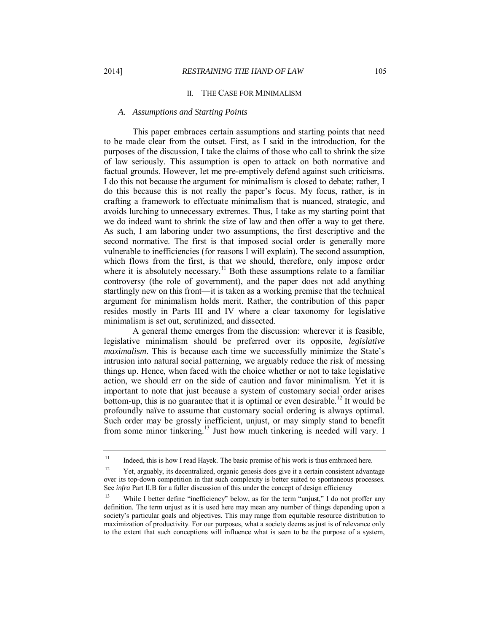#### II. THE CASE FOR MINIMALISM

#### *A. Assumptions and Starting Points*

This paper embraces certain assumptions and starting points that need to be made clear from the outset. First, as I said in the introduction, for the purposes of the discussion, I take the claims of those who call to shrink the size of law seriously. This assumption is open to attack on both normative and factual grounds. However, let me pre-emptively defend against such criticisms. I do this not because the argument for minimalism is closed to debate; rather, I do this because this is not really the paper's focus. My focus, rather, is in crafting a framework to effectuate minimalism that is nuanced, strategic, and avoids lurching to unnecessary extremes. Thus, I take as my starting point that we do indeed want to shrink the size of law and then offer a way to get there. As such, I am laboring under two assumptions, the first descriptive and the second normative. The first is that imposed social order is generally more vulnerable to inefficiencies (for reasons I will explain). The second assumption, which flows from the first, is that we should, therefore, only impose order where it is absolutely necessary.<sup>11</sup> Both these assumptions relate to a familiar controversy (the role of government), and the paper does not add anything startlingly new on this front—it is taken as a working premise that the technical argument for minimalism holds merit. Rather, the contribution of this paper resides mostly in Parts III and IV where a clear taxonomy for legislative minimalism is set out, scrutinized, and dissected.

A general theme emerges from the discussion: wherever it is feasible, legislative minimalism should be preferred over its opposite, *legislative maximalism*. This is because each time we successfully minimize the State's intrusion into natural social patterning, we arguably reduce the risk of messing things up. Hence, when faced with the choice whether or not to take legislative action, we should err on the side of caution and favor minimalism. Yet it is important to note that just because a system of customary social order arises bottom-up, this is no guarantee that it is optimal or even desirable.<sup>12</sup> It would be profoundly naïve to assume that customary social ordering is always optimal. Such order may be grossly inefficient, unjust, or may simply stand to benefit from some minor tinkering.<sup>13</sup> Just how much tinkering is needed will vary. I

<sup>&</sup>lt;sup>11</sup> Indeed, this is how I read Hayek. The basic premise of his work is thus embraced here.

<sup>&</sup>lt;sup>12</sup> Yet, arguably, its decentralized, organic genesis does give it a certain consistent advantage over its top-down competition in that such complexity is better suited to spontaneous processes. See *infra* Part II.B for a fuller discussion of this under the concept of design efficiency

While I better define "inefficiency" below, as for the term "unjust," I do not proffer any definition. The term unjust as it is used here may mean any number of things depending upon a society's particular goals and objectives. This may range from equitable resource distribution to maximization of productivity. For our purposes, what a society deems as just is of relevance only to the extent that such conceptions will influence what is seen to be the purpose of a system,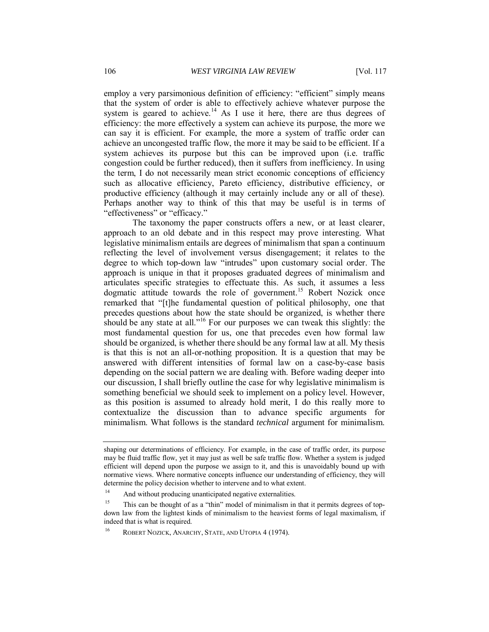employ a very parsimonious definition of efficiency: "efficient" simply means that the system of order is able to effectively achieve whatever purpose the system is geared to achieve.<sup>14</sup> As I use it here, there are thus degrees of efficiency: the more effectively a system can achieve its purpose, the more we can say it is efficient. For example, the more a system of traffic order can achieve an uncongested traffic flow, the more it may be said to be efficient. If a system achieves its purpose but this can be improved upon (i.e. traffic congestion could be further reduced), then it suffers from inefficiency. In using the term, I do not necessarily mean strict economic conceptions of efficiency such as allocative efficiency, Pareto efficiency, distributive efficiency, or productive efficiency (although it may certainly include any or all of these). Perhaps another way to think of this that may be useful is in terms of "effectiveness" or "efficacy."

The taxonomy the paper constructs offers a new, or at least clearer, approach to an old debate and in this respect may prove interesting. What legislative minimalism entails are degrees of minimalism that span a continuum reflecting the level of involvement versus disengagement; it relates to the degree to which top-down law "intrudes" upon customary social order. The approach is unique in that it proposes graduated degrees of minimalism and articulates specific strategies to effectuate this. As such, it assumes a less dogmatic attitude towards the role of government.<sup>15</sup> Robert Nozick once remarked that "[t]he fundamental question of political philosophy, one that precedes questions about how the state should be organized, is whether there should be any state at all."<sup>16</sup> For our purposes we can tweak this slightly: the most fundamental question for us, one that precedes even how formal law should be organized, is whether there should be any formal law at all. My thesis is that this is not an all-or-nothing proposition. It is a question that may be answered with different intensities of formal law on a case-by-case basis depending on the social pattern we are dealing with. Before wading deeper into our discussion, I shall briefly outline the case for why legislative minimalism is something beneficial we should seek to implement on a policy level. However, as this position is assumed to already hold merit, I do this really more to contextualize the discussion than to advance specific arguments for minimalism. What follows is the standard *technical* argument for minimalism.

shaping our determinations of efficiency. For example, in the case of traffic order, its purpose may be fluid traffic flow, yet it may just as well be safe traffic flow. Whether a system is judged efficient will depend upon the purpose we assign to it, and this is unavoidably bound up with normative views. Where normative concepts influence our understanding of efficiency, they will determine the policy decision whether to intervene and to what extent.

<sup>&</sup>lt;sup>14</sup> And without producing unanticipated negative externalities.

<sup>&</sup>lt;sup>15</sup> This can be thought of as a "thin" model of minimalism in that it permits degrees of topdown law from the lightest kinds of minimalism to the heaviest forms of legal maximalism, if indeed that is what is required.

ROBERT NOZICK, ANARCHY, STATE, AND UTOPIA 4 (1974).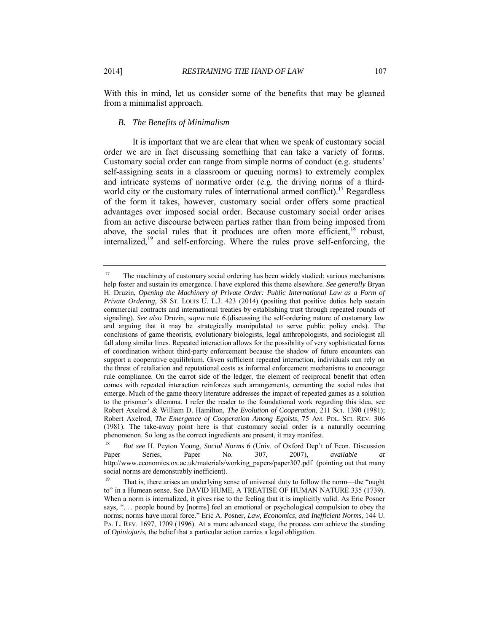With this in mind, let us consider some of the benefits that may be gleaned from a minimalist approach.

#### *B. The Benefits of Minimalism*

It is important that we are clear that when we speak of customary social order we are in fact discussing something that can take a variety of forms. Customary social order can range from simple norms of conduct (e.g. students' self-assigning seats in a classroom or queuing norms) to extremely complex and intricate systems of normative order (e.g. the driving norms of a thirdworld city or the customary rules of international armed conflict).<sup>17</sup> Regardless of the form it takes, however, customary social order offers some practical advantages over imposed social order. Because customary social order arises from an active discourse between parties rather than from being imposed from above, the social rules that it produces are often more efficient,  $18$  robust, internalized, $19$  and self-enforcing. Where the rules prove self-enforcing, the

<sup>&</sup>lt;sup>17</sup> The machinery of customary social ordering has been widely studied: various mechanisms help foster and sustain its emergence. I have explored this theme elsewhere. *See generally* Bryan H. Druzin, *Opening the Machinery of Private Order: Public International Law as a Form of Private Ordering*, 58 ST. LOUIS U. L.J. 423 (2014) (positing that positive duties help sustain commercial contracts and international treaties by establishing trust through repeated rounds of signaling). *See also* Druzin, *supra* note 6.(discussing the self-ordering nature of customary law and arguing that it may be strategically manipulated to serve public policy ends). The conclusions of game theorists, evolutionary biologists, legal anthropologists, and sociologist all fall along similar lines. Repeated interaction allows for the possibility of very sophisticated forms of coordination without third-party enforcement because the shadow of future encounters can support a cooperative equilibrium. Given sufficient repeated interaction, individuals can rely on the threat of retaliation and reputational costs as informal enforcement mechanisms to encourage rule compliance. On the carrot side of the ledger, the element of reciprocal benefit that often comes with repeated interaction reinforces such arrangements, cementing the social rules that emerge. Much of the game theory literature addresses the impact of repeated games as a solution to the prisoner's dilemma. I refer the reader to the foundational work regarding this idea, see Robert Axelrod & William D. Hamilton, *The Evolution of Cooperation*, 211 SCI. 1390 (1981); Robert Axelrod, *The Emergence of Cooperation Among Egoists*, 75 AM. POL. SCI. REV. 306 (1981). The take-away point here is that customary social order is a naturally occurring phenomenon. So long as the correct ingredients are present, it may manifest.

<sup>18</sup> *But see* H. Peyton Young, *Social Norms* 6 (Univ. of Oxford Dep't of Econ. Discussion Paper Series, Paper No. 307, 2007), *available at*  http://www.economics.ox.ac.uk/materials/working\_papers/paper307.pdf (pointing out that many social norms are demonstrably inefficient).

That is, there arises an underlying sense of universal duty to follow the norm—the "ought to" in a Humean sense. See DAVID HUME, A TREATISE OF HUMAN NATURE 335 (1739). When a norm is internalized, it gives rise to the feeling that it is implicitly valid. As Eric Posner says, ". . . people bound by [norms] feel an emotional or psychological compulsion to obey the norms; norms have moral force." Eric A. Posner, *Law, Economics, and Inefficient Norms*, 144 U. PA. L. REV. 1697, 1709 (1996). At a more advanced stage, the process can achieve the standing of *Opiniojuris,* the belief that a particular action carries a legal obligation.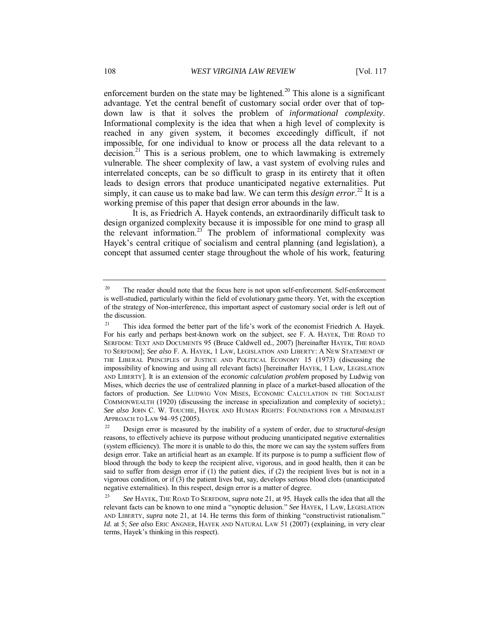enforcement burden on the state may be lightened.<sup>20</sup> This alone is a significant advantage. Yet the central benefit of customary social order over that of topdown law is that it solves the problem of *informational complexity*. Informational complexity is the idea that when a high level of complexity is reached in any given system, it becomes exceedingly difficult, if not impossible, for one individual to know or process all the data relevant to a decision.<sup>21</sup> This is a serious problem, one to which lawmaking is extremely vulnerable. The sheer complexity of law, a vast system of evolving rules and interrelated concepts, can be so difficult to grasp in its entirety that it often leads to design errors that produce unanticipated negative externalities. Put simply, it can cause us to make bad law. We can term this *design error*. <sup>22</sup> It is a working premise of this paper that design error abounds in the law.

It is, as Friedrich A. Hayek contends, an extraordinarily difficult task to design organized complexity because it is impossible for one mind to grasp all the relevant information.<sup>23</sup> The problem of informational complexity was Hayek's central critique of socialism and central planning (and legislation), a concept that assumed center stage throughout the whole of his work, featuring

<sup>&</sup>lt;sup>20</sup> The reader should note that the focus here is not upon self-enforcement. Self-enforcement is well-studied, particularly within the field of evolutionary game theory. Yet, with the exception of the strategy of Non-interference, this important aspect of customary social order is left out of the discussion.

<sup>&</sup>lt;sup>21</sup> This idea formed the better part of the life's work of the economist Friedrich A. Hayek. For his early and perhaps best-known work on the subject, see F. A. HAYEK, THE ROAD TO SERFDOM: TEXT AND DOCUMENTS 95 (Bruce Caldwell ed., 2007) [hereinafter HAYEK, THE ROAD TO SERFDOM]; *See also* F. A. HAYEK, 1 LAW, LEGISLATION AND LIBERTY: A NEW STATEMENT OF THE LIBERAL PRINCIPLES OF JUSTICE AND POLITICAL ECONOMY 15 (1973) (discussing the impossibility of knowing and using all relevant facts) [hereinafter HAYEK, 1 LAW, LEGISLATION AND LIBERTY]. It is an extension of the *economic calculation problem* proposed by Ludwig von Mises, which decries the use of centralized planning in place of a market-based allocation of the factors of production. *See* LUDWIG VON MISES, ECONOMIC CALCULATION IN THE SOCIALIST COMMONWEALTH (1920) (discussing the increase in specialization and complexity of society).; *See also* JOHN C. W. TOUCHIE, HAYEK AND HUMAN RIGHTS: FOUNDATIONS FOR A MINIMALIST APPROACH TO LAW 94–95 (2005).

<sup>22</sup> Design error is measured by the inability of a system of order, due to *structural-design* reasons, to effectively achieve its purpose without producing unanticipated negative externalities (system efficiency). The more it is unable to do this, the more we can say the system suffers from design error. Take an artificial heart as an example. If its purpose is to pump a sufficient flow of blood through the body to keep the recipient alive, vigorous, and in good health, then it can be said to suffer from design error if (1) the patient dies, if (2) the recipient lives but is not in a vigorous condition, or if (3) the patient lives but, say, develops serious blood clots (unanticipated negative externalities). In this respect, design error is a matter of degree.

<sup>23</sup> *See* HAYEK, THE ROAD TO SERFDOM, *supra* note 21, at 95*.* Hayek calls the idea that all the relevant facts can be known to one mind a "synoptic delusion." *See* HAYEK, 1 LAW, LEGISLATION AND LIBERTY, *supra* note 21, at 14. He terms this form of thinking "constructivist rationalism." *Id.* at 5; *See also* ERIC ANGNER, HAYEK AND NATURAL LAW 51 (2007) (explaining, in very clear terms, Hayek's thinking in this respect).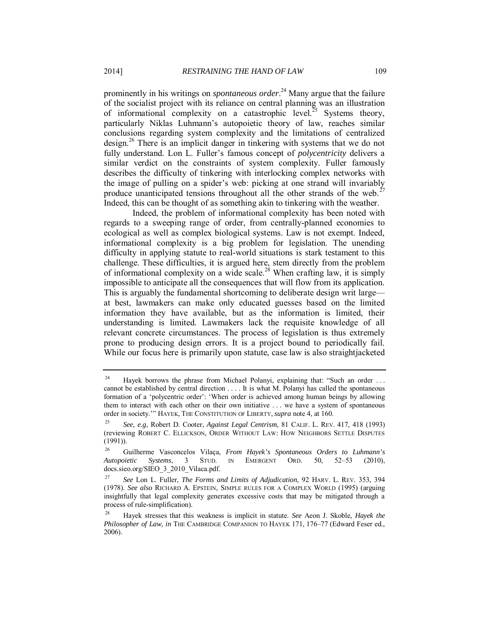prominently in his writings on *spontaneous order*. <sup>24</sup> Many argue that the failure of the socialist project with its reliance on central planning was an illustration of informational complexity on a catastrophic level.<sup>25</sup> Systems theory, particularly Niklas Luhmann's autopoietic theory of law, reaches similar conclusions regarding system complexity and the limitations of centralized design.<sup>26</sup> There is an implicit danger in tinkering with systems that we do not fully understand. Lon L. Fuller's famous concept of *polycentricity* delivers a similar verdict on the constraints of system complexity. Fuller famously describes the difficulty of tinkering with interlocking complex networks with the image of pulling on a spider's web: picking at one strand will invariably produce unanticipated tensions throughout all the other strands of the web.<sup>27</sup> Indeed, this can be thought of as something akin to tinkering with the weather.

Indeed, the problem of informational complexity has been noted with regards to a sweeping range of order, from centrally-planned economies to ecological as well as complex biological systems. Law is not exempt. Indeed, informational complexity is a big problem for legislation. The unending difficulty in applying statute to real-world situations is stark testament to this challenge. These difficulties, it is argued here, stem directly from the problem of informational complexity on a wide scale.<sup>28</sup> When crafting law, it is simply impossible to anticipate all the consequences that will flow from its application. This is arguably the fundamental shortcoming to deliberate design writ large at best, lawmakers can make only educated guesses based on the limited information they have available, but as the information is limited, their understanding is limited. Lawmakers lack the requisite knowledge of all relevant concrete circumstances. The process of legislation is thus extremely prone to producing design errors. It is a project bound to periodically fail. While our focus here is primarily upon statute, case law is also straightjacketed

<sup>&</sup>lt;sup>24</sup> Hayek borrows the phrase from Michael Polanyi, explaining that: "Such an order ... cannot be established by central direction . . . . It is what M. Polanyi has called the spontaneous formation of a 'polycentric order': 'When order is achieved among human beings by allowing them to interact with each other on their own initiative . . . we have a system of spontaneous order in society.'" HAYEK, THE CONSTITUTION OF LIBERTY, *supra* note 4, at 160.

<sup>25</sup> *See, e.g*, Robert D. Cooter, *Against Legal Centrism*, 81 CALIF. L. REV. 417, 418 (1993) (reviewing ROBERT C. ELLICKSON, ORDER WITHOUT LAW: HOW NEIGHBORS SETTLE DISPUTES (1991)).

<sup>26</sup> Guilherme Vasconcelos Vilaça, *From Hayek's Spontaneous Orders to Luhmann's Autopoietic Systems*, 3 STUD. IN EMERGENT ORD. 50, 52–53 (2010), docs.sieo.org/SIEO\_3\_2010\_Vilaca.pdf.

<sup>27</sup> *See* Lon L. Fuller, *The Forms and Limits of Adjudication*, 92 HARV. L. REV. 353, 394 (1978). *See also* RICHARD A. EPSTEIN, SIMPLE RULES FOR A COMPLEX WORLD (1995) (arguing insightfully that legal complexity generates excessive costs that may be mitigated through a process of rule-simplification).

<sup>28</sup> Hayek stresses that this weakness is implicit in statute. *See* Aeon J. Skoble, *Hayek the Philosopher of Law*, *in* THE CAMBRIDGE COMPANION TO HAYEK 171, 176–77 (Edward Feser ed., 2006).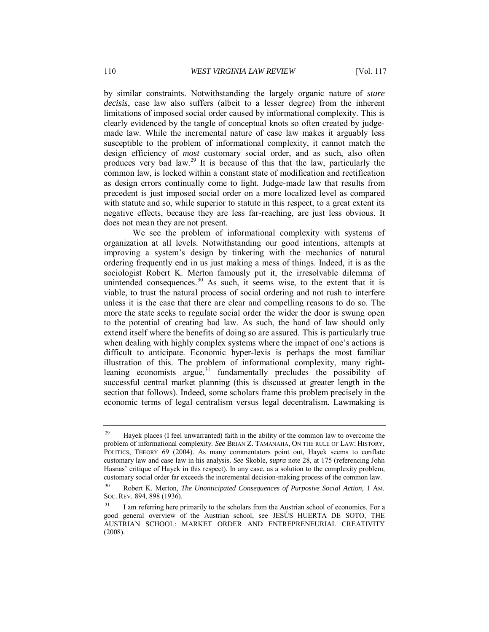by similar constraints. Notwithstanding the largely organic nature of *stare decisis*, case law also suffers (albeit to a lesser degree) from the inherent limitations of imposed social order caused by informational complexity. This is clearly evidenced by the tangle of conceptual knots so often created by judgemade law. While the incremental nature of case law makes it arguably less susceptible to the problem of informational complexity, it cannot match the design efficiency of *most* customary social order, and as such, also often produces very bad law.<sup>29</sup> It is because of this that the law, particularly the common law, is locked within a constant state of modification and rectification as design errors continually come to light. Judge-made law that results from precedent is just imposed social order on a more localized level as compared with statute and so, while superior to statute in this respect, to a great extent its negative effects, because they are less far-reaching, are just less obvious. It does not mean they are not present.

We see the problem of informational complexity with systems of organization at all levels. Notwithstanding our good intentions, attempts at improving a system's design by tinkering with the mechanics of natural ordering frequently end in us just making a mess of things. Indeed, it is as the sociologist Robert K. Merton famously put it, the irresolvable dilemma of unintended consequences.<sup>30</sup> As such, it seems wise, to the extent that it is viable, to trust the natural process of social ordering and not rush to interfere unless it is the case that there are clear and compelling reasons to do so. The more the state seeks to regulate social order the wider the door is swung open to the potential of creating bad law. As such, the hand of law should only extend itself where the benefits of doing so are assured. This is particularly true when dealing with highly complex systems where the impact of one's actions is difficult to anticipate. Economic hyper-lexis is perhaps the most familiar illustration of this. The problem of informational complexity, many rightleaning economists argue, $31$  fundamentally precludes the possibility of successful central market planning (this is discussed at greater length in the section that follows). Indeed, some scholars frame this problem precisely in the economic terms of legal centralism versus legal decentralism. Lawmaking is

<sup>&</sup>lt;sup>29</sup> Hayek places (I feel unwarranted) faith in the ability of the common law to overcome the problem of informational complexity. *See* BRIAN Z. TAMANAHA, ON THE RULE OF LAW: HISTORY, POLITICS, THEORY 69 (2004). As many commentators point out, Hayek seems to conflate customary law and case law in his analysis. *See* Skoble, *supra* note 28, at 175 (referencing John Hasnas' critique of Hayek in this respect). In any case, as a solution to the complexity problem, customary social order far exceeds the incremental decision-making process of the common law.

<sup>30</sup> Robert K. Merton, *The Unanticipated Consequences of Purposive Social Action*, 1 AM. SOC. REV. 894, 898 (1936).

I am referring here primarily to the scholars from the Austrian school of economics. For a good general overview of the Austrian school, see JESÚS HUERTA DE SOTO, THE AUSTRIAN SCHOOL: MARKET ORDER AND ENTREPRENEURIAL CREATIVITY (2008).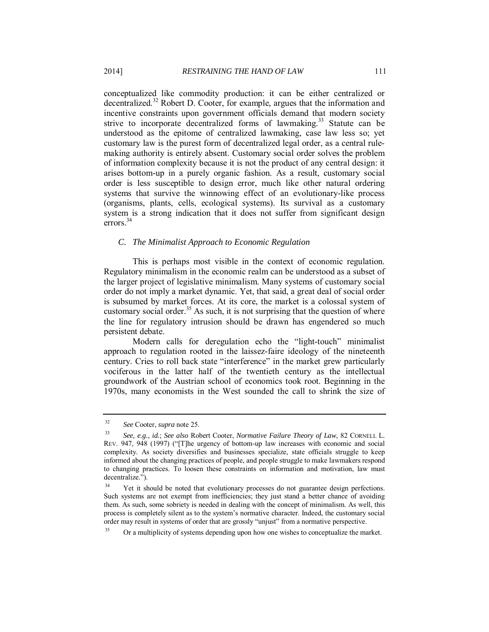conceptualized like commodity production: it can be either centralized or decentralized.<sup>32</sup> Robert D. Cooter, for example, argues that the information and incentive constraints upon government officials demand that modern society strive to incorporate decentralized forms of lawmaking.<sup>33</sup> Statute can be understood as the epitome of centralized lawmaking, case law less so; yet customary law is the purest form of decentralized legal order, as a central rulemaking authority is entirely absent. Customary social order solves the problem of information complexity because it is not the product of any central design: it arises bottom-up in a purely organic fashion. As a result, customary social order is less susceptible to design error, much like other natural ordering systems that survive the winnowing effect of an evolutionary-like process (organisms, plants, cells, ecological systems). Its survival as a customary system is a strong indication that it does not suffer from significant design  $\text{errors}^{\,34}$ 

#### *C. The Minimalist Approach to Economic Regulation*

This is perhaps most visible in the context of economic regulation. Regulatory minimalism in the economic realm can be understood as a subset of the larger project of legislative minimalism. Many systems of customary social order do not imply a market dynamic. Yet, that said, a great deal of social order is subsumed by market forces. At its core, the market is a colossal system of customary social order.<sup>35</sup> As such, it is not surprising that the question of where the line for regulatory intrusion should be drawn has engendered so much persistent debate.

Modern calls for deregulation echo the "light-touch" minimalist approach to regulation rooted in the laissez-faire ideology of the nineteenth century. Cries to roll back state "interference" in the market grew particularly vociferous in the latter half of the twentieth century as the intellectual groundwork of the Austrian school of economics took root. Beginning in the 1970s, many economists in the West sounded the call to shrink the size of

<sup>32</sup> *See* Cooter, *supra* note 25.

<sup>33</sup> *See, e.g.*, *id.*; *See also* Robert Cooter, *Normative Failure Theory of Law*, 82 CORNELL L. REV. 947, 948 (1997) ("[T]he urgency of bottom-up law increases with economic and social complexity. As society diversifies and businesses specialize, state officials struggle to keep informed about the changing practices of people, and people struggle to make lawmakers respond to changing practices. To loosen these constraints on information and motivation, law must decentralize.").

<sup>&</sup>lt;sup>34</sup> Yet it should be noted that evolutionary processes do not guarantee design perfections. Such systems are not exempt from inefficiencies; they just stand a better chance of avoiding them. As such, some sobriety is needed in dealing with the concept of minimalism. As well, this process is completely silent as to the system's normative character. Indeed, the customary social order may result in systems of order that are grossly "unjust" from a normative perspective.

<sup>35</sup> Or a multiplicity of systems depending upon how one wishes to conceptualize the market.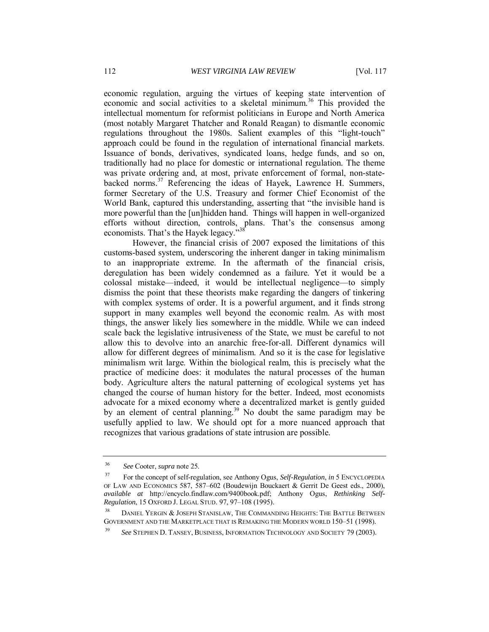economic regulation, arguing the virtues of keeping state intervention of economic and social activities to a skeletal minimum.<sup>36</sup> This provided the intellectual momentum for reformist politicians in Europe and North America (most notably Margaret Thatcher and Ronald Reagan) to dismantle economic regulations throughout the 1980s. Salient examples of this "light-touch" approach could be found in the regulation of international financial markets. Issuance of bonds, derivatives, syndicated loans, hedge funds, and so on, traditionally had no place for domestic or international regulation. The theme was private ordering and, at most, private enforcement of formal, non-statebacked norms.<sup>37</sup> Referencing the ideas of Hayek, Lawrence H. Summers, former Secretary of the U.S. Treasury and former Chief Economist of the World Bank, captured this understanding, asserting that "the invisible hand is more powerful than the [un]hidden hand. Things will happen in well-organized efforts without direction, controls, plans. That's the consensus among economists. That's the Hayek legacy."<sup>38</sup>

However, the financial crisis of 2007 exposed the limitations of this customs-based system, underscoring the inherent danger in taking minimalism to an inappropriate extreme. In the aftermath of the financial crisis, deregulation has been widely condemned as a failure. Yet it would be a colossal mistake—indeed, it would be intellectual negligence—to simply dismiss the point that these theorists make regarding the dangers of tinkering with complex systems of order. It is a powerful argument, and it finds strong support in many examples well beyond the economic realm. As with most things, the answer likely lies somewhere in the middle. While we can indeed scale back the legislative intrusiveness of the State, we must be careful to not allow this to devolve into an anarchic free-for-all. Different dynamics will allow for different degrees of minimalism. And so it is the case for legislative minimalism writ large. Within the biological realm, this is precisely what the practice of medicine does: it modulates the natural processes of the human body. Agriculture alters the natural patterning of ecological systems yet has changed the course of human history for the better. Indeed, most economists advocate for a mixed economy where a decentralized market is gently guided by an element of central planning.<sup>39</sup> No doubt the same paradigm may be usefully applied to law. We should opt for a more nuanced approach that recognizes that various gradations of state intrusion are possible.

<sup>36</sup> *See* Cooter, *supra* note 25.

<sup>37</sup> For the concept of self-regulation, see Anthony Ogus, *Self-Regulation*, *in* 5 ENCYCLOPEDIA OF LAW AND ECONOMICS 587, 587–602 (Boudewijn Bouckaert & Gerrit De Geest eds., 2000), *available at* http://encyclo.findlaw.com/9400book.pdf; Anthony Ogus, *Rethinking Self-Regulation*, 15 OXFORD J. LEGAL STUD. 97, 97–108 (1995).

<sup>&</sup>lt;sup>38</sup> DANIEL YERGIN & JOSEPH STANISLAW, THE COMMANDING HEIGHTS: THE BATTLE BETWEEN GOVERNMENT AND THE MARKETPLACE THAT IS REMAKING THE MODERN WORLD 150–51 (1998).

<sup>39</sup> *See* STEPHEN D. TANSEY, BUSINESS, INFORMATION TECHNOLOGY AND SOCIETY 79 (2003).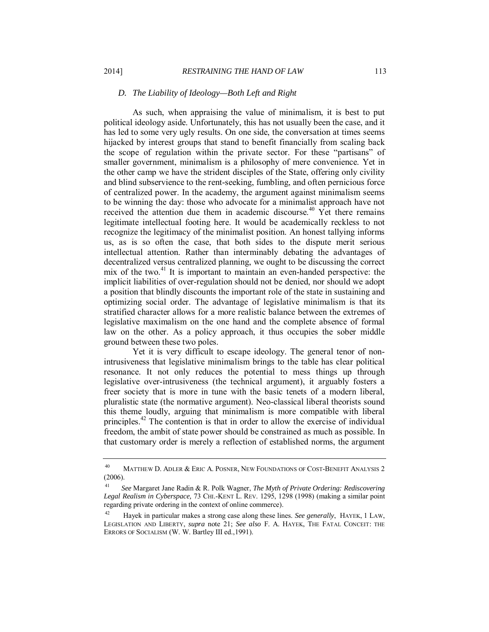#### *D. The Liability of Ideology—Both Left and Right*

As such, when appraising the value of minimalism, it is best to put political ideology aside. Unfortunately, this has not usually been the case, and it has led to some very ugly results. On one side, the conversation at times seems hijacked by interest groups that stand to benefit financially from scaling back the scope of regulation within the private sector. For these "partisans" of smaller government, minimalism is a philosophy of mere convenience. Yet in the other camp we have the strident disciples of the State, offering only civility and blind subservience to the rent-seeking, fumbling, and often pernicious force of centralized power. In the academy, the argument against minimalism seems to be winning the day: those who advocate for a minimalist approach have not received the attention due them in academic discourse.<sup>40</sup>  $\overrightarrow{Yet}$  there remains legitimate intellectual footing here. It would be academically reckless to not recognize the legitimacy of the minimalist position. An honest tallying informs us, as is so often the case, that both sides to the dispute merit serious intellectual attention. Rather than interminably debating the advantages of decentralized versus centralized planning, we ought to be discussing the correct mix of the two. $41$  It is important to maintain an even-handed perspective: the implicit liabilities of over-regulation should not be denied, nor should we adopt a position that blindly discounts the important role of the state in sustaining and optimizing social order. The advantage of legislative minimalism is that its stratified character allows for a more realistic balance between the extremes of legislative maximalism on the one hand and the complete absence of formal law on the other. As a policy approach, it thus occupies the sober middle ground between these two poles.

Yet it is very difficult to escape ideology. The general tenor of nonintrusiveness that legislative minimalism brings to the table has clear political resonance. It not only reduces the potential to mess things up through legislative over-intrusiveness (the technical argument), it arguably fosters a freer society that is more in tune with the basic tenets of a modern liberal, pluralistic state (the normative argument). Neo-classical liberal theorists sound this theme loudly, arguing that minimalism is more compatible with liberal principles.<sup>42</sup> The contention is that in order to allow the exercise of individual freedom, the ambit of state power should be constrained as much as possible. In that customary order is merely a reflection of established norms, the argument

<sup>&</sup>lt;sup>40</sup> MATTHEW D. ADLER & ERIC A. POSNER, NEW FOUNDATIONS OF COST-BENEFIT ANALYSIS 2 (2006).

<sup>41</sup> *See* Margaret Jane Radin & R. Polk Wagner, *The Myth of Private Ordering: Rediscovering Legal Realism in Cyberspace,* 73 CHI.-KENT L. REV. 1295, 1298 (1998) (making a similar point regarding private ordering in the context of online commerce).

<sup>42</sup> Hayek in particular makes a strong case along these lines. *See generally*, HAYEK, 1 LAW, LEGISLATION AND LIBERTY, *supra* note 21; *See also* F. A. HAYEK, THE FATAL CONCEIT: THE ERRORS OF SOCIALISM (W. W. Bartley III ed.,1991).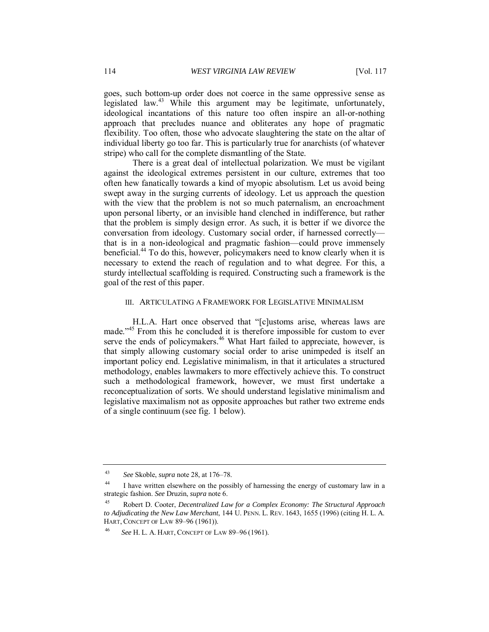goes, such bottom-up order does not coerce in the same oppressive sense as legislated law.<sup>43</sup> While this argument may be legitimate, unfortunately, ideological incantations of this nature too often inspire an all-or-nothing approach that precludes nuance and obliterates any hope of pragmatic flexibility. Too often, those who advocate slaughtering the state on the altar of individual liberty go too far. This is particularly true for anarchists (of whatever stripe) who call for the complete dismantling of the State.

There is a great deal of intellectual polarization. We must be vigilant against the ideological extremes persistent in our culture, extremes that too often hew fanatically towards a kind of myopic absolutism. Let us avoid being swept away in the surging currents of ideology. Let us approach the question with the view that the problem is not so much paternalism, an encroachment upon personal liberty, or an invisible hand clenched in indifference, but rather that the problem is simply design error. As such, it is better if we divorce the conversation from ideology. Customary social order, if harnessed correctly that is in a non-ideological and pragmatic fashion—could prove immensely beneficial.<sup>44</sup> To do this, however, policymakers need to know clearly when it is necessary to extend the reach of regulation and to what degree. For this, a sturdy intellectual scaffolding is required. Constructing such a framework is the goal of the rest of this paper.

#### III. ARTICULATING A FRAMEWORK FOR LEGISLATIVE MINIMALISM

H.L.A. Hart once observed that "[c]ustoms arise, whereas laws are made."<sup>45</sup> From this he concluded it is therefore impossible for custom to ever serve the ends of policymakers.<sup>46</sup> What Hart failed to appreciate, however, is that simply allowing customary social order to arise unimpeded is itself an important policy end. Legislative minimalism, in that it articulates a structured methodology, enables lawmakers to more effectively achieve this. To construct such a methodological framework, however, we must first undertake a reconceptualization of sorts. We should understand legislative minimalism and legislative maximalism not as opposite approaches but rather two extreme ends of a single continuum (see fig. 1 below).

<sup>43</sup> *See* Skoble, *supra* note 28, at 176–78.

<sup>&</sup>lt;sup>44</sup> I have written elsewhere on the possibly of harnessing the energy of customary law in a strategic fashion. *See* Druzin, *supra* note 6.

<sup>45</sup> Robert D. Cooter, *Decentralized Law for a Complex Economy: The Structural Approach to Adjudicating the New Law Merchant*, 144 U. PENN. L. REV. 1643, 1655 (1996) (citing H. L. A. HART, CONCEPT OF LAW 89–96 (1961)).

<sup>46</sup> *See* H. L. A. HART, CONCEPT OF LAW 89–96 (1961).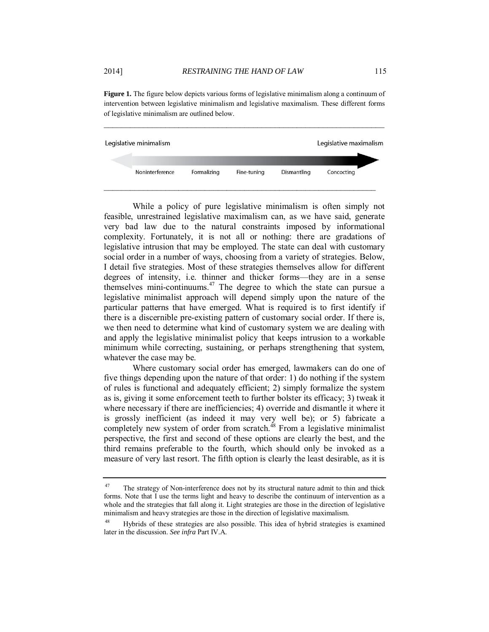**Figure 1.** The figure below depicts various forms of legislative minimalism along a continuum of intervention between legislative minimalism and legislative maximalism. These different forms of legislative minimalism are outlined below.

\_\_\_\_\_\_\_\_\_\_\_\_\_\_\_\_\_\_\_\_\_\_\_\_\_\_\_\_\_\_\_\_\_\_\_\_\_\_\_\_\_\_\_\_\_\_\_\_\_\_\_\_\_\_\_\_\_\_\_\_\_\_\_\_



While a policy of pure legislative minimalism is often simply not feasible, unrestrained legislative maximalism can, as we have said, generate very bad law due to the natural constraints imposed by informational complexity. Fortunately, it is not all or nothing: there are gradations of legislative intrusion that may be employed. The state can deal with customary social order in a number of ways, choosing from a variety of strategies. Below, I detail five strategies. Most of these strategies themselves allow for different degrees of intensity, i.e. thinner and thicker forms—they are in a sense themselves mini-continuums. $47$  The degree to which the state can pursue a legislative minimalist approach will depend simply upon the nature of the particular patterns that have emerged. What is required is to first identify if there is a discernible pre-existing pattern of customary social order. If there is, we then need to determine what kind of customary system we are dealing with and apply the legislative minimalist policy that keeps intrusion to a workable minimum while correcting, sustaining, or perhaps strengthening that system, whatever the case may be.

Where customary social order has emerged, lawmakers can do one of five things depending upon the nature of that order: 1) do nothing if the system of rules is functional and adequately efficient; 2) simply formalize the system as is, giving it some enforcement teeth to further bolster its efficacy; 3) tweak it where necessary if there are inefficiencies; 4) override and dismantle it where it is grossly inefficient (as indeed it may very well be); or 5) fabricate a completely new system of order from scratch.<sup>48</sup> From a legislative minimalist perspective, the first and second of these options are clearly the best, and the third remains preferable to the fourth, which should only be invoked as a measure of very last resort. The fifth option is clearly the least desirable, as it is

 $47$  The strategy of Non-interference does not by its structural nature admit to thin and thick forms. Note that I use the terms light and heavy to describe the continuum of intervention as a whole and the strategies that fall along it. Light strategies are those in the direction of legislative minimalism and heavy strategies are those in the direction of legislative maximalism.

<sup>48</sup> Hybrids of these strategies are also possible. This idea of hybrid strategies is examined later in the discussion. *See infra* Part IV.A.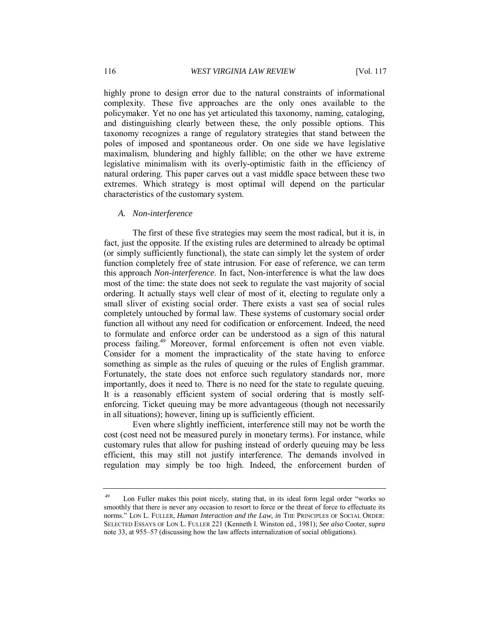highly prone to design error due to the natural constraints of informational complexity. These five approaches are the only ones available to the policymaker. Yet no one has yet articulated this taxonomy, naming, cataloging, and distinguishing clearly between these, the only possible options. This taxonomy recognizes a range of regulatory strategies that stand between the poles of imposed and spontaneous order. On one side we have legislative maximalism, blundering and highly fallible; on the other we have extreme legislative minimalism with its overly-optimistic faith in the efficiency of natural ordering. This paper carves out a vast middle space between these two extremes. Which strategy is most optimal will depend on the particular characteristics of the customary system.

#### *A. Non-interference*

The first of these five strategies may seem the most radical, but it is, in fact, just the opposite. If the existing rules are determined to already be optimal (or simply sufficiently functional), the state can simply let the system of order function completely free of state intrusion. For ease of reference, we can term this approach *Non-interference*. In fact, Non-interference is what the law does most of the time: the state does not seek to regulate the vast majority of social ordering. It actually stays well clear of most of it, electing to regulate only a small sliver of existing social order. There exists a vast sea of social rules completely untouched by formal law. These systems of customary social order function all without any need for codification or enforcement. Indeed, the need to formulate and enforce order can be understood as a sign of this natural process failing.<sup>49</sup> Moreover, formal enforcement is often not even viable. Consider for a moment the impracticality of the state having to enforce something as simple as the rules of queuing or the rules of English grammar. Fortunately, the state does not enforce such regulatory standards nor, more importantly, does it need to. There is no need for the state to regulate queuing. It is a reasonably efficient system of social ordering that is mostly selfenforcing. Ticket queuing may be more advantageous (though not necessarily in all situations); however, lining up is sufficiently efficient.

Even where slightly inefficient, interference still may not be worth the cost (cost need not be measured purely in monetary terms). For instance, while customary rules that allow for pushing instead of orderly queuing may be less efficient, this may still not justify interference. The demands involved in regulation may simply be too high. Indeed, the enforcement burden of

<sup>49</sup> Lon Fuller makes this point nicely, stating that, in its ideal form legal order "works so smoothly that there is never any occasion to resort to force or the threat of force to effectuate its norms." LON L. FULLER, *Human Interaction and the Law*, *in* THE PRINCIPLES OF SOCIAL ORDER: SELECTED ESSAYS OF LON L. FULLER 221 (Kenneth I. Winston ed., 1981); *See also* Cooter, *supra* note 33, at 955–57 (discussing how the law affects internalization of social obligations).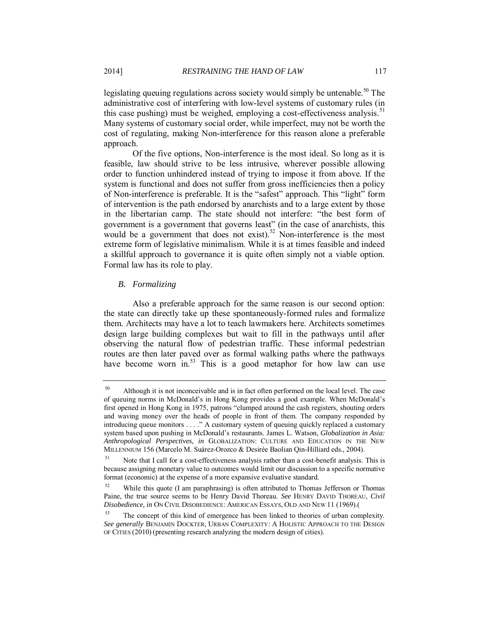legislating queuing regulations across society would simply be untenable.<sup>50</sup> The administrative cost of interfering with low-level systems of customary rules (in this case pushing) must be weighed, employing a cost-effectiveness analysis.<sup>51</sup> Many systems of customary social order, while imperfect, may not be worth the cost of regulating, making Non-interference for this reason alone a preferable approach.

Of the five options, Non-interference is the most ideal. So long as it is feasible, law should strive to be less intrusive, wherever possible allowing order to function unhindered instead of trying to impose it from above. If the system is functional and does not suffer from gross inefficiencies then a policy of Non-interference is preferable. It is the "safest" approach. This "light" form of intervention is the path endorsed by anarchists and to a large extent by those in the libertarian camp. The state should not interfere: "the best form of government is a government that governs least" (in the case of anarchists, this would be a government that does not exist).<sup>52</sup> Non-interference is the most extreme form of legislative minimalism. While it is at times feasible and indeed a skillful approach to governance it is quite often simply not a viable option. Formal law has its role to play.

#### *B. Formalizing*

Also a preferable approach for the same reason is our second option: the state can directly take up these spontaneously-formed rules and formalize them. Architects may have a lot to teach lawmakers here. Architects sometimes design large building complexes but wait to fill in the pathways until after observing the natural flow of pedestrian traffic. These informal pedestrian routes are then later paved over as formal walking paths where the pathways have become worn in.<sup>53</sup> This is a good metaphor for how law can use

<sup>&</sup>lt;sup>50</sup> Although it is not inconceivable and is in fact often performed on the local level. The case of queuing norms in McDonald's in Hong Kong provides a good example. When McDonald's first opened in Hong Kong in 1975, patrons "clumped around the cash registers, shouting orders and waving money over the heads of people in front of them. The company responded by introducing queue monitors . . . ." A customary system of queuing quickly replaced a customary system based upon pushing in McDonald's restaurants. James L. Watson, *Globalization in Asia: Anthropological Perspectives*, *in* GLOBALIZATION: CULTURE AND EDUCATION IN THE NEW MILLENNIUM 156 (Marcelo M. Suárez-Orozco & Desirée Baolian Qin-Hilliard eds., 2004).

<sup>&</sup>lt;sup>51</sup> Note that I call for a cost-effectiveness analysis rather than a cost-benefit analysis. This is because assigning monetary value to outcomes would limit our discussion to a specific normative format (economic) at the expense of a more expansive evaluative standard.

 $52$  While this quote (I am paraphrasing) is often attributed to Thomas Jefferson or Thomas Paine, the true source seems to be Henry David Thoreau. *See* HENRY DAVID THOREAU, *Civil Disobedience, in* ON CIVIL DISOBEDIENCE: AMERICAN ESSAYS, OLD AND NEW 11 (1969).(

The concept of this kind of emergence has been linked to theories of urban complexity. *See generally* BENJAMIN DOCKTER, URBAN COMPLEXITY: A HOLISTIC APPROACH TO THE DESIGN OF CITIES (2010) (presenting research analyzing the modern design of cities).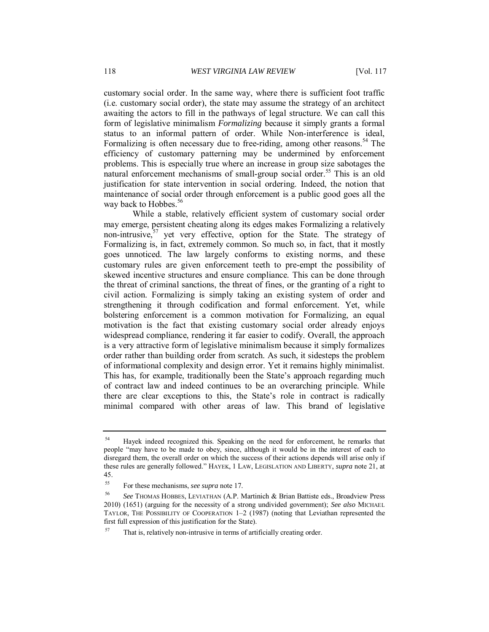customary social order. In the same way, where there is sufficient foot traffic (i.e. customary social order), the state may assume the strategy of an architect awaiting the actors to fill in the pathways of legal structure. We can call this form of legislative minimalism *Formalizing* because it simply grants a formal status to an informal pattern of order. While Non-interference is ideal, Formalizing is often necessary due to free-riding, among other reasons.<sup>54</sup> The efficiency of customary patterning may be undermined by enforcement problems. This is especially true where an increase in group size sabotages the natural enforcement mechanisms of small-group social order.<sup>55</sup> This is an old justification for state intervention in social ordering. Indeed, the notion that maintenance of social order through enforcement is a public good goes all the way back to Hobbes.<sup>56</sup>

While a stable, relatively efficient system of customary social order may emerge, persistent cheating along its edges makes Formalizing a relatively non-intrusive,  $57$  yet very effective, option for the State. The strategy of Formalizing is, in fact, extremely common. So much so, in fact, that it mostly goes unnoticed. The law largely conforms to existing norms, and these customary rules are given enforcement teeth to pre-empt the possibility of skewed incentive structures and ensure compliance. This can be done through the threat of criminal sanctions, the threat of fines, or the granting of a right to civil action. Formalizing is simply taking an existing system of order and strengthening it through codification and formal enforcement. Yet, while bolstering enforcement is a common motivation for Formalizing, an equal motivation is the fact that existing customary social order already enjoys widespread compliance, rendering it far easier to codify. Overall, the approach is a very attractive form of legislative minimalism because it simply formalizes order rather than building order from scratch. As such, it sidesteps the problem of informational complexity and design error. Yet it remains highly minimalist. This has, for example, traditionally been the State's approach regarding much of contract law and indeed continues to be an overarching principle. While there are clear exceptions to this, the State's role in contract is radically minimal compared with other areas of law. This brand of legislative

<sup>&</sup>lt;sup>54</sup> Hayek indeed recognized this. Speaking on the need for enforcement, he remarks that people "may have to be made to obey, since, although it would be in the interest of each to disregard them, the overall order on which the success of their actions depends will arise only if these rules are generally followed." HAYEK, 1 LAW, LEGISLATION AND LIBERTY, *supra* note 21, at 45.

<sup>55</sup> For these mechanisms, *see supra* note 17.

<sup>56</sup> *See* THOMAS HOBBES, LEVIATHAN (A.P. Martinich & Brian Battiste eds., Broadview Press 2010) (1651) (arguing for the necessity of a strong undivided government); *See also* MICHAEL TAYLOR, THE POSSIBILITY OF COOPERATION 1–2 (1987) (noting that Leviathan represented the first full expression of this justification for the State).

That is, relatively non-intrusive in terms of artificially creating order.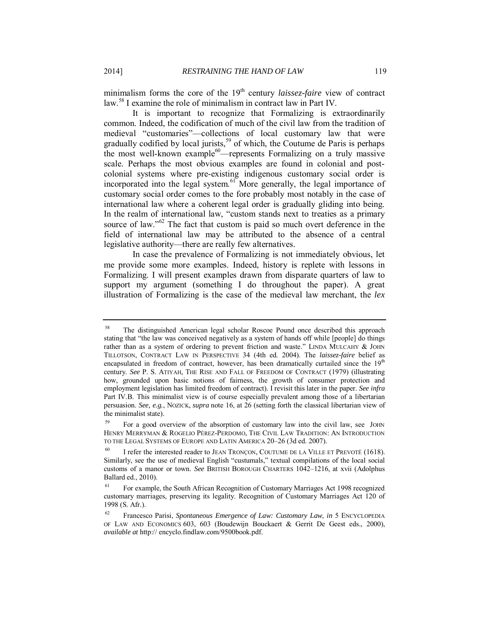minimalism forms the core of the 19<sup>th</sup> century *laissez-faire* view of contract law.<sup>58</sup> I examine the role of minimalism in contract law in Part IV.

It is important to recognize that Formalizing is extraordinarily common. Indeed, the codification of much of the civil law from the tradition of medieval "customaries"—collections of local customary law that were gradually codified by local jurists,<sup>59</sup> of which, the Coutume de Paris is perhaps the most well-known example<sup>60</sup>—represents Formalizing on a truly massive scale. Perhaps the most obvious examples are found in colonial and postcolonial systems where pre-existing indigenous customary social order is incorporated into the legal system.<sup>61</sup> More generally, the legal importance of customary social order comes to the fore probably most notably in the case of international law where a coherent legal order is gradually gliding into being. In the realm of international law, "custom stands next to treaties as a primary source of law." $62$  The fact that custom is paid so much overt deference in the field of international law may be attributed to the absence of a central legislative authority—there are really few alternatives.

In case the prevalence of Formalizing is not immediately obvious, let me provide some more examples. Indeed, history is replete with lessons in Formalizing. I will present examples drawn from disparate quarters of law to support my argument (something I do throughout the paper). A great illustration of Formalizing is the case of the medieval law merchant, the *lex* 

<sup>58</sup> The distinguished American legal scholar Roscoe Pound once described this approach stating that "the law was conceived negatively as a system of hands off while [people] do things rather than as a system of ordering to prevent friction and waste." LINDA MULCAHY & JOHN TILLOTSON, CONTRACT LAW IN PERSPECTIVE 34 (4th ed. 2004). The *laissez-faire* belief as encapsulated in freedom of contract, however, has been dramatically curtailed since the  $19<sup>th</sup>$ century. *See* P. S. ATIYAH, THE RISE AND FALL OF FREEDOM OF CONTRACT (1979) (illustrating how, grounded upon basic notions of fairness, the growth of consumer protection and employment legislation has limited freedom of contract). I revisit this later in the paper. *See infra*  Part IV.B. This minimalist view is of course especially prevalent among those of a libertarian persuasion. *See, e.g.*, NOZICK, *supra* note 16, at 26 (setting forth the classical libertarian view of the minimalist state).

<sup>59</sup> For a good overview of the absorption of customary law into the civil law, see JOHN HENRY MERRYMAN & ROGELIO PÉREZ-PERDOMO, THE CIVIL LAW TRADITION: AN INTRODUCTION TO THE LEGAL SYSTEMS OF EUROPE AND LATIN AMERICA 20–26 (3d ed. 2007).

I refer the interested reader to JEAN TRONÇON, COUTUME DE LA VILLE ET PREVOTÉ (1618). Similarly, see the use of medieval English "custumals," textual compilations of the local social customs of a manor or town. *See* BRITISH BOROUGH CHARTERS 1042–1216, at xvii (Adolphus Ballard ed., 2010).

<sup>&</sup>lt;sup>61</sup> For example, the South African Recognition of Customary Marriages Act 1998 recognized customary marriages, preserving its legality. Recognition of Customary Marriages Act 120 of 1998 (S. Afr.).

<sup>62</sup> Francesco Parisi, *Spontaneous Emergence of Law: Customary Law*, *in* 5 ENCYCLOPEDIA OF LAW AND ECONOMICS 603, 603 (Boudewijn Bouckaert & Gerrit De Geest eds., 2000), *available at* http:// encyclo.findlaw.com/9500book.pdf.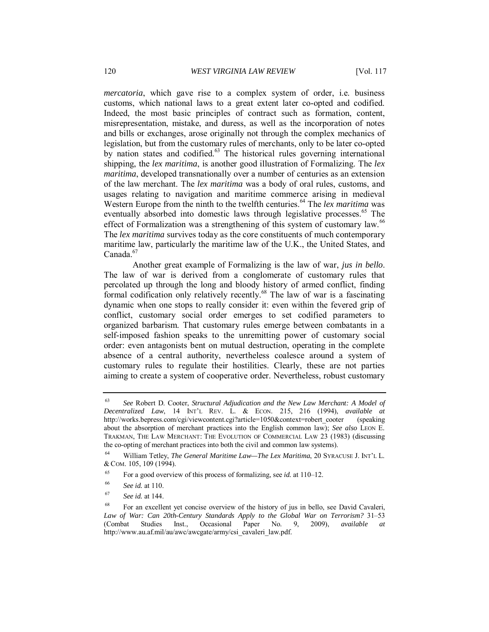*mercatoria*, which gave rise to a complex system of order, i.e. business customs, which national laws to a great extent later co-opted and codified. Indeed, the most basic principles of contract such as formation, content, misrepresentation, mistake, and duress, as well as the incorporation of notes and bills or exchanges, arose originally not through the complex mechanics of legislation, but from the customary rules of merchants, only to be later co-opted by nation states and codified.<sup>63</sup> The historical rules governing international shipping, the *lex maritima*, is another good illustration of Formalizing. The *lex maritima*, developed transnationally over a number of centuries as an extension of the law merchant. The *lex maritima* was a body of oral rules, customs, and usages relating to navigation and maritime commerce arising in medieval Western Europe from the ninth to the twelfth centuries.<sup>64</sup> The *lex maritima* was eventually absorbed into domestic laws through legislative processes.<sup>65</sup> The effect of Formalization was a strengthening of this system of customary law.<sup>66</sup> The *lex maritima* survives today as the core constituents of much contemporary maritime law, particularly the maritime law of the U.K., the United States, and Canada.<sup>67</sup>

Another great example of Formalizing is the law of war, *jus in bello*. The law of war is derived from a conglomerate of customary rules that percolated up through the long and bloody history of armed conflict, finding formal codification only relatively recently.<sup>68</sup> The law of war is a fascinating dynamic when one stops to really consider it: even within the fevered grip of conflict, customary social order emerges to set codified parameters to organized barbarism. That customary rules emerge between combatants in a self-imposed fashion speaks to the unremitting power of customary social order: even antagonists bent on mutual destruction, operating in the complete absence of a central authority, nevertheless coalesce around a system of customary rules to regulate their hostilities. Clearly, these are not parties aiming to create a system of cooperative order. Nevertheless, robust customary

<sup>63</sup> *See* Robert D. Cooter, *Structural Adjudication and the New Law Merchant: A Model of Decentralized Law*, 14 INT'L REV. L. & ECON. 215, 216 (1994), *available at*  http://works.bepress.com/cgi/viewcontent.cgi?article=1050&context=robert\_cooter (speaking about the absorption of merchant practices into the English common law); *See also* LEON E. TRAKMAN, THE LAW MERCHANT: THE EVOLUTION OF COMMERCIAL LAW 23 (1983) (discussing the co-opting of merchant practices into both the civil and common law systems).

<sup>64</sup> William Tetley, *The General Maritime Law—The Lex Maritima*, 20 SYRACUSE J. INT'L L. & COM. 105, 109 (1994).

<sup>65</sup> For a good overview of this process of formalizing, see *id.* at 110–12.

<sup>66</sup> *See id.* at 110.

<sup>67</sup> *See id.* at 144.

<sup>&</sup>lt;sup>68</sup> For an excellent yet concise overview of the history of jus in bello, see David Cavaleri, *Law of War: Can 20th-Century Standards Apply to the Global War on Terrorism?* 31–53 (Combat Studies Inst., Occasional Paper No. 9, 2009), *available at*  http://www.au.af.mil/au/awc/awcgate/army/csi\_cavaleri\_law.pdf.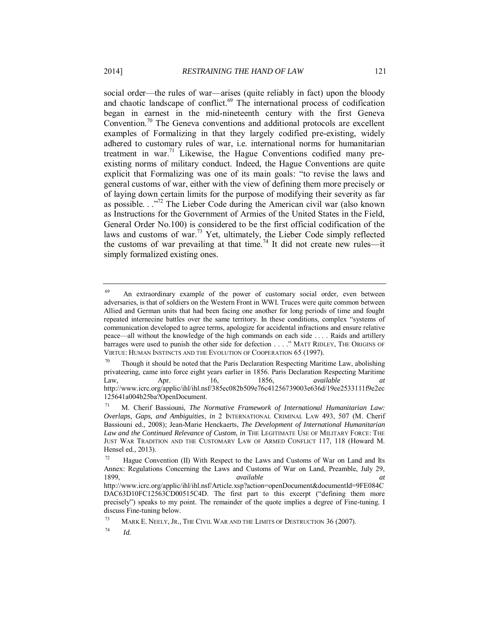social order—the rules of war—arises (quite reliably in fact) upon the bloody and chaotic landscape of conflict.<sup>69</sup> The international process of codification began in earnest in the mid-nineteenth century with the first Geneva Convention.<sup>70</sup> The Geneva conventions and additional protocols are excellent examples of Formalizing in that they largely codified pre-existing, widely adhered to customary rules of war, i.e. international norms for humanitarian treatment in war.<sup>71</sup> Likewise, the Hague Conventions codified many preexisting norms of military conduct. Indeed, the Hague Conventions are quite explicit that Formalizing was one of its main goals: "to revise the laws and general customs of war, either with the view of defining them more precisely or of laying down certain limits for the purpose of modifying their severity as far as possible.  $\cdot$ ."<sup>72</sup> The Lieber Code during the American civil war (also known as Instructions for the Government of Armies of the United States in the Field, General Order No.100) is considered to be the first official codification of the laws and customs of war.<sup>73</sup> Yet, ultimately, the Lieber Code simply reflected the customs of war prevailing at that time.<sup>74</sup> It did not create new rules—it simply formalized existing ones.

<sup>&</sup>lt;sup>69</sup> An extraordinary example of the power of customary social order, even between adversaries, is that of soldiers on the Western Front in WWI. Truces were quite common between Allied and German units that had been facing one another for long periods of time and fought repeated internecine battles over the same territory. In these conditions, complex "systems of communication developed to agree terms, apologize for accidental infractions and ensure relative peace—all without the knowledge of the high commands on each side . . . . Raids and artillery barrages were used to punish the other side for defection . . . ." MATT RIDLEY, THE ORIGINS OF VIRTUE: HUMAN INSTINCTS AND THE EVOLUTION OF COOPERATION 65 (1997).

Though it should be noted that the Paris Declaration Respecting Maritime Law, abolishing privateering, came into force eight years earlier in 1856. Paris Declaration Respecting Maritime Law, Apr. 16, 1856, *available at*  http://www.icrc.org/applic/ihl/ihl.nsf/385ec082b509e76c41256739003e636d/19ee2533111f9e2ec 125641a004b25ba?OpenDocument.

<sup>71</sup> M. Cherif Bassiouni, *The Normative Framework of International Humanitarian Law: Overlaps, Gaps, and Ambiguities*, *in* 2 INTERNATIONAL CRIMINAL LAW 493, 507 (M. Cherif Bassiouni ed., 2008); Jean-Marie Henckaerts, *The Development of International Humanitarian Law and the Continued Relevance of Custom*, *in* THE LEGITIMATE USE OF MILITARY FORCE: THE JUST WAR TRADITION AND THE CUSTOMARY LAW OF ARMED CONFLICT 117, 118 (Howard M. Hensel ed., 2013).

 $72$  Hague Convention (II) With Respect to the Laws and Customs of War on Land and Its Annex: Regulations Concerning the Laws and Customs of War on Land, Preamble, July 29, 1899, *available at*  http://www.icrc.org/applic/ihl/ihl.nsf/Article.xsp?action=openDocument&documentId=9FE084C DAC63D10FC12563CD00515C4D. The first part to this excerpt ("defining them more precisely") speaks to my point. The remainder of the quote implies a degree of Fine-tuning. I discuss Fine-tuning below.

<sup>&</sup>lt;sup>73</sup> MARK E. NEELY, JR., THE CIVIL WAR AND THE LIMITS OF DESTRUCTION 36 (2007).

<sup>74</sup> *Id.*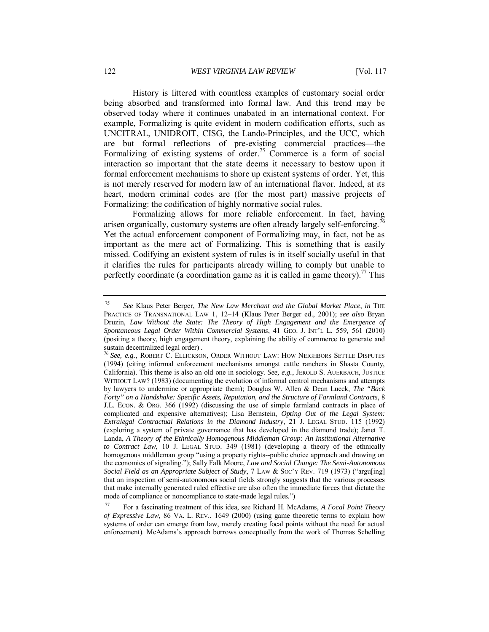History is littered with countless examples of customary social order being absorbed and transformed into formal law. And this trend may be observed today where it continues unabated in an international context. For example, Formalizing is quite evident in modern codification efforts, such as UNCITRAL, UNIDROIT, CISG, the Lando-Principles, and the UCC, which are but formal reflections of pre-existing commercial practices—the Formalizing of existing systems of order.<sup>75</sup> Commerce is a form of social interaction so important that the state deems it necessary to bestow upon it formal enforcement mechanisms to shore up existent systems of order. Yet, this is not merely reserved for modern law of an international flavor. Indeed, at its heart, modern criminal codes are (for the most part) massive projects of Formalizing: the codification of highly normative social rules.

Formalizing allows for more reliable enforcement. In fact, having arisen organically, customary systems are often already largely self-enforcing.<sup>7</sup> Yet the actual enforcement component of Formalizing may, in fact, not be as important as the mere act of Formalizing. This is something that is easily missed. Codifying an existent system of rules is in itself socially useful in that it clarifies the rules for participants already willing to comply but unable to perfectly coordinate (a coordination game as it is called in game theory).<sup>77</sup> This

<sup>75</sup> *See* Klaus Peter Berger, *The New Law Merchant and the Global Market Place*, *in* THE PRACTICE OF TRANSNATIONAL LAW 1, 12–14 (Klaus Peter Berger ed., 2001); *see also* Bryan Druzin, *Law Without the State: The Theory of High Engagement and the Emergence of Spontaneous Legal Order Within Commercial Systems*, 41 GEO. J. INT'L L. 559, 561 (2010) (positing a theory, high engagement theory, explaining the ability of commerce to generate and sustain decentralized legal order) .

<sup>76</sup> *See, e.g.*, ROBERT C. ELLICKSON, ORDER WITHOUT LAW: HOW NEIGHBORS SETTLE DISPUTES (1994) (citing informal enforcement mechanisms amongst cattle ranchers in Shasta County, California). This theme is also an old one in sociology. *See, e.g.*, JEROLD S. AUERBACH, JUSTICE WITHOUT LAW? (1983) (documenting the evolution of informal control mechanisms and attempts by lawyers to undermine or appropriate them); Douglas W. Allen & Dean Lueck, *The "Back Forty" on a Handshake: Specific Assets, Reputation, and the Structure of Farmland Contracts*, 8 J.L. ECON. & ORG. 366 (1992) (discussing the use of simple farmland contracts in place of complicated and expensive alternatives); Lisa Bernstein, *Opting Out of the Legal System: Extralegal Contractual Relations in the Diamond Industry*, 21 J. LEGAL STUD. 115 (1992) (exploring a system of private governance that has developed in the diamond trade); Janet T. Landa, *A Theory of the Ethnically Homogenous Middleman Group: An Institutional Alternative to Contract Law*, 10 J. LEGAL STUD. 349 (1981) (developing a theory of the ethnically homogenous middleman group "using a property rights--public choice approach and drawing on the economics of signaling."); Sally Falk Moore, *Law and Social Change: The Semi-Autonomous Social Field as an Appropriate Subject of Study*, 7 LAW & SOC'Y REV. 719 (1973) ("argu[ing] that an inspection of semi-autonomous social fields strongly suggests that the various processes that make internally generated ruled effective are also often the immediate forces that dictate the mode of compliance or noncompliance to state-made legal rules.")

<sup>77</sup> For a fascinating treatment of this idea, see Richard H. McAdams, *A Focal Point Theory of Expressive Law*, 86 VA. L. REV.. 1649 (2000) (using game theoretic terms to explain how systems of order can emerge from law, merely creating focal points without the need for actual enforcement). McAdams's approach borrows conceptually from the work of Thomas Schelling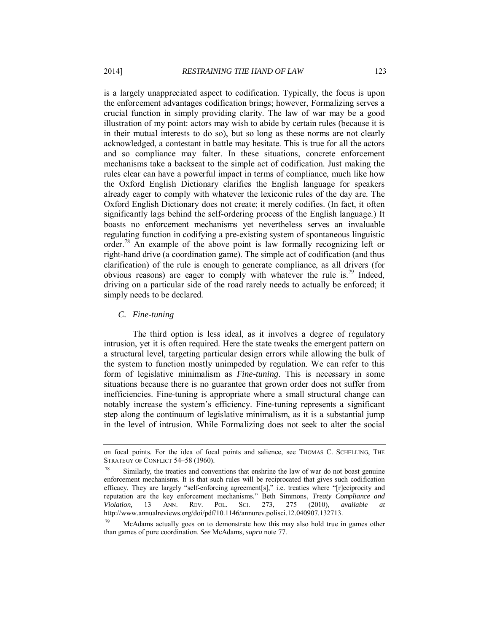is a largely unappreciated aspect to codification. Typically, the focus is upon the enforcement advantages codification brings; however, Formalizing serves a crucial function in simply providing clarity. The law of war may be a good illustration of my point: actors may wish to abide by certain rules (because it is in their mutual interests to do so), but so long as these norms are not clearly acknowledged, a contestant in battle may hesitate. This is true for all the actors and so compliance may falter. In these situations, concrete enforcement mechanisms take a backseat to the simple act of codification. Just making the rules clear can have a powerful impact in terms of compliance, much like how the Oxford English Dictionary clarifies the English language for speakers already eager to comply with whatever the lexiconic rules of the day are. The Oxford English Dictionary does not create; it merely codifies. (In fact, it often significantly lags behind the self-ordering process of the English language.) It boasts no enforcement mechanisms yet nevertheless serves an invaluable regulating function in codifying a pre-existing system of spontaneous linguistic order.<sup>78</sup> An example of the above point is law formally recognizing left or right-hand drive (a coordination game). The simple act of codification (and thus clarification) of the rule is enough to generate compliance, as all drivers (for obvious reasons) are eager to comply with whatever the rule is.<sup>79</sup> Indeed, driving on a particular side of the road rarely needs to actually be enforced; it simply needs to be declared.

*C. Fine-tuning* 

The third option is less ideal, as it involves a degree of regulatory intrusion, yet it is often required. Here the state tweaks the emergent pattern on a structural level, targeting particular design errors while allowing the bulk of the system to function mostly unimpeded by regulation. We can refer to this form of legislative minimalism as *Fine-tuning*. This is necessary in some situations because there is no guarantee that grown order does not suffer from inefficiencies. Fine-tuning is appropriate where a small structural change can notably increase the system's efficiency. Fine-tuning represents a significant step along the continuum of legislative minimalism, as it is a substantial jump in the level of intrusion. While Formalizing does not seek to alter the social

on focal points. For the idea of focal points and salience, see THOMAS C. SCHELLING, THE STRATEGY OF CONFLICT 54-58 (1960).

 $78$  Similarly, the treaties and conventions that enshrine the law of war do not boast genuine enforcement mechanisms. It is that such rules will be reciprocated that gives such codification efficacy. They are largely "self-enforcing agreement[s]," i.e. treaties where "[r]eciprocity and reputation are the key enforcement mechanisms." Beth Simmons, *Treaty Compliance and Violation,* 13 ANN. REV. POL. SCI. 273, 275 (2010), *available at*  http://www.annualreviews.org/doi/pdf/10.1146/annurev.polisci.12.040907.132713.

McAdams actually goes on to demonstrate how this may also hold true in games other than games of pure coordination. *See* McAdams, *supra* note 77.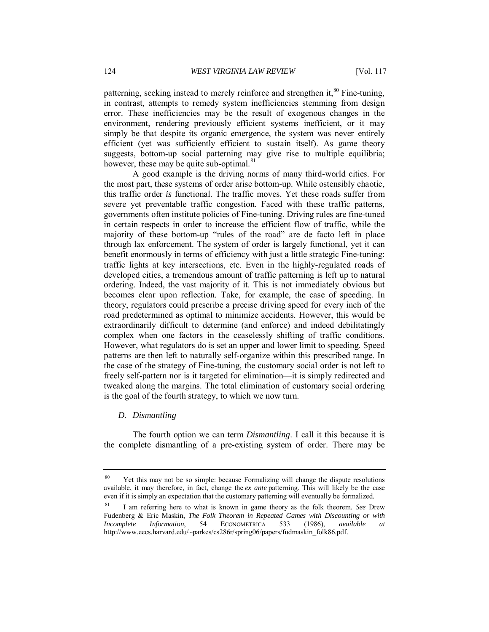patterning, seeking instead to merely reinforce and strengthen it, $80$  Fine-tuning, in contrast, attempts to remedy system inefficiencies stemming from design error. These inefficiencies may be the result of exogenous changes in the environment, rendering previously efficient systems inefficient, or it may simply be that despite its organic emergence, the system was never entirely efficient (yet was sufficiently efficient to sustain itself). As game theory suggests, bottom-up social patterning may give rise to multiple equilibria; however, these may be quite sub-optimal.<sup>81</sup>

A good example is the driving norms of many third-world cities. For the most part, these systems of order arise bottom-up. While ostensibly chaotic, this traffic order *is* functional. The traffic moves. Yet these roads suffer from severe yet preventable traffic congestion. Faced with these traffic patterns, governments often institute policies of Fine-tuning. Driving rules are fine-tuned in certain respects in order to increase the efficient flow of traffic, while the majority of these bottom-up "rules of the road" are de facto left in place through lax enforcement. The system of order is largely functional, yet it can benefit enormously in terms of efficiency with just a little strategic Fine-tuning: traffic lights at key intersections, etc. Even in the highly-regulated roads of developed cities, a tremendous amount of traffic patterning is left up to natural ordering. Indeed, the vast majority of it. This is not immediately obvious but becomes clear upon reflection. Take, for example, the case of speeding. In theory, regulators could prescribe a precise driving speed for every inch of the road predetermined as optimal to minimize accidents. However, this would be extraordinarily difficult to determine (and enforce) and indeed debilitatingly complex when one factors in the ceaselessly shifting of traffic conditions. However, what regulators do is set an upper and lower limit to speeding. Speed patterns are then left to naturally self-organize within this prescribed range. In the case of the strategy of Fine-tuning, the customary social order is not left to freely self-pattern nor is it targeted for elimination—it is simply redirected and tweaked along the margins. The total elimination of customary social ordering is the goal of the fourth strategy, to which we now turn.

#### *D. Dismantling*

The fourth option we can term *Dismantling*. I call it this because it is the complete dismantling of a pre-existing system of order. There may be

<sup>&</sup>lt;sup>80</sup> Yet this may not be so simple: because Formalizing will change the dispute resolutions available, it may therefore, in fact, change the *ex ante* patterning. This will likely be the case even if it is simply an expectation that the customary patterning will eventually be formalized.

<sup>81</sup> I am referring here to what is known in game theory as the folk theorem. *See* Drew Fudenberg & Eric Maskin, *The Folk Theorem in Repeated Games with Discounting or with Incomplete Information*, 54 ECONOMETRICA 533 (1986), *available at* http://www.eecs.harvard.edu/~parkes/cs286r/spring06/papers/fudmaskin\_folk86.pdf.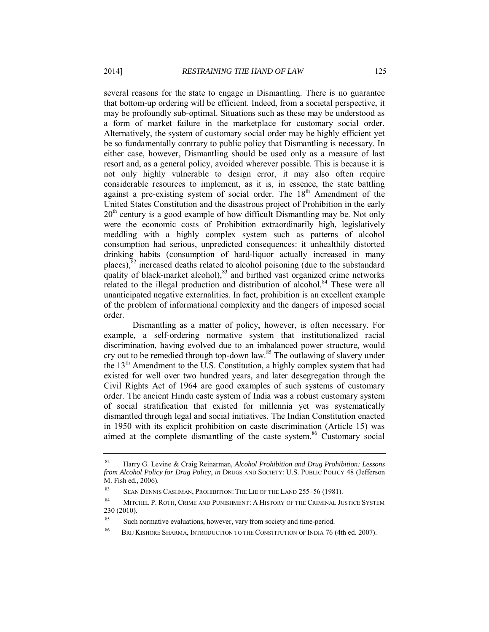several reasons for the state to engage in Dismantling. There is no guarantee that bottom-up ordering will be efficient. Indeed, from a societal perspective, it may be profoundly sub-optimal. Situations such as these may be understood as a form of market failure in the marketplace for customary social order. Alternatively, the system of customary social order may be highly efficient yet be so fundamentally contrary to public policy that Dismantling is necessary. In either case, however, Dismantling should be used only as a measure of last resort and, as a general policy, avoided wherever possible. This is because it is not only highly vulnerable to design error, it may also often require considerable resources to implement, as it is, in essence, the state battling against a pre-existing system of social order. The  $18<sup>th</sup>$  Amendment of the United States Constitution and the disastrous project of Prohibition in the early  $20<sup>th</sup>$  century is a good example of how difficult Dismantling may be. Not only were the economic costs of Prohibition extraordinarily high, legislatively meddling with a highly complex system such as patterns of alcohol consumption had serious, unpredicted consequences: it unhealthily distorted drinking habits (consumption of hard-liquor actually increased in many places), $82$  increased deaths related to alcohol poisoning (due to the substandard quality of black-market alcohol), $83$  and birthed vast organized crime networks related to the illegal production and distribution of alcohol.<sup>84</sup> These were all unanticipated negative externalities. In fact, prohibition is an excellent example of the problem of informational complexity and the dangers of imposed social order.

Dismantling as a matter of policy, however, is often necessary. For example, a self-ordering normative system that institutionalized racial discrimination, having evolved due to an imbalanced power structure, would cry out to be remedied through top-down law.<sup>85</sup> The outlawing of slavery under the 13th Amendment to the U.S. Constitution, a highly complex system that had existed for well over two hundred years, and later desegregation through the Civil Rights Act of 1964 are good examples of such systems of customary order. The ancient Hindu caste system of India was a robust customary system of social stratification that existed for millennia yet was systematically dismantled through legal and social initiatives. The Indian Constitution enacted in 1950 with its explicit prohibition on caste discrimination (Article 15) was aimed at the complete dismantling of the caste system.<sup>86</sup> Customary social

<sup>82</sup> Harry G. Levine & Craig Reinarman, *Alcohol Prohibition and Drug Prohibition: Lessons from Alcohol Policy for Drug Policy*, *in* DRUGS AND SOCIETY: U.S. PUBLIC POLICY 48 (Jefferson M. Fish ed., 2006).

<sup>83</sup> SEAN DENNIS CASHMAN, PROHIBITION: THE LIE OF THE LAND 255–56 (1981).

<sup>84</sup> MITCHEL P. ROTH, CRIME AND PUNISHMENT: A HISTORY OF THE CRIMINAL JUSTICE SYSTEM 230 (2010).

<sup>&</sup>lt;sup>85</sup> Such normative evaluations, however, vary from society and time-period.

<sup>86</sup> BRIJ KISHORE SHARMA, INTRODUCTION TO THE CONSTITUTION OF INDIA 76 (4th ed. 2007).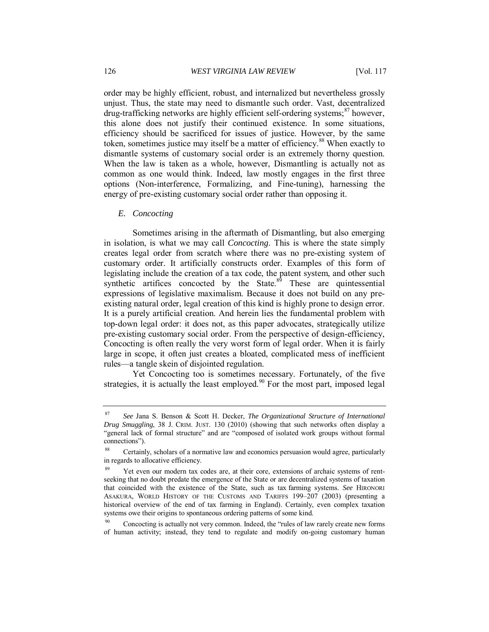order may be highly efficient, robust, and internalized but nevertheless grossly unjust. Thus, the state may need to dismantle such order. Vast, decentralized drug-trafficking networks are highly efficient self-ordering systems;<sup>87</sup> however, this alone does not justify their continued existence. In some situations, efficiency should be sacrificed for issues of justice. However, by the same token, sometimes justice may itself be a matter of efficiency.<sup>88</sup> When exactly to dismantle systems of customary social order is an extremely thorny question. When the law is taken as a whole, however, Dismantling is actually not as common as one would think. Indeed, law mostly engages in the first three options (Non-interference, Formalizing, and Fine-tuning), harnessing the energy of pre-existing customary social order rather than opposing it.

#### *E. Concocting*

Sometimes arising in the aftermath of Dismantling, but also emerging in isolation, is what we may call *Concocting*. This is where the state simply creates legal order from scratch where there was no pre-existing system of customary order. It artificially constructs order. Examples of this form of legislating include the creation of a tax code, the patent system, and other such synthetic artifices concocted by the State. $8\overline{9}$  These are quintessential expressions of legislative maximalism. Because it does not build on any preexisting natural order, legal creation of this kind is highly prone to design error. It is a purely artificial creation. And herein lies the fundamental problem with top-down legal order: it does not, as this paper advocates, strategically utilize pre-existing customary social order. From the perspective of design-efficiency, Concocting is often really the very worst form of legal order. When it is fairly large in scope, it often just creates a bloated, complicated mess of inefficient rules—a tangle skein of disjointed regulation.

Yet Concocting too is sometimes necessary. Fortunately, of the five strategies, it is actually the least employed.<sup>90</sup> For the most part, imposed legal

<sup>87</sup> *See* Jana S. Benson & Scott H. Decker, *The Organizational Structure of International Drug Smuggling*, 38 J. CRIM. JUST. 130 (2010) (showing that such networks often display a "general lack of formal structure" and are "composed of isolated work groups without formal connections").

Certainly, scholars of a normative law and economics persuasion would agree, particularly in regards to allocative efficiency.

Yet even our modern tax codes are, at their core, extensions of archaic systems of rentseeking that no doubt predate the emergence of the State or are decentralized systems of taxation that coincided with the existence of the State, such as tax farming systems. *See* HIRONORI ASAKURA, WORLD HISTORY OF THE CUSTOMS AND TARIFFS 199–207 (2003) (presenting a historical overview of the end of tax farming in England). Certainly, even complex taxation systems owe their origins to spontaneous ordering patterns of some kind.

<sup>&</sup>lt;sup>90</sup> Concocting is actually not very common. Indeed, the "rules of law rarely create new forms of human activity; instead, they tend to regulate and modify on-going customary human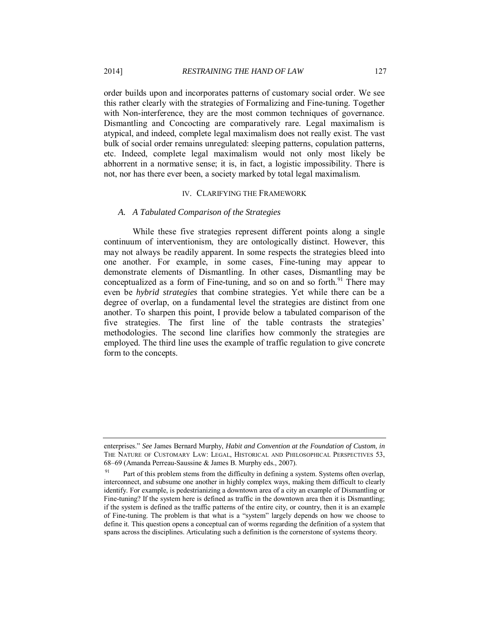order builds upon and incorporates patterns of customary social order. We see this rather clearly with the strategies of Formalizing and Fine-tuning. Together with Non-interference, they are the most common techniques of governance. Dismantling and Concocting are comparatively rare. Legal maximalism is atypical, and indeed, complete legal maximalism does not really exist. The vast bulk of social order remains unregulated: sleeping patterns, copulation patterns, etc. Indeed, complete legal maximalism would not only most likely be abhorrent in a normative sense; it is, in fact, a logistic impossibility. There is not, nor has there ever been, a society marked by total legal maximalism.

#### IV. CLARIFYING THE FRAMEWORK

#### *A. A Tabulated Comparison of the Strategies*

While these five strategies represent different points along a single continuum of interventionism, they are ontologically distinct. However, this may not always be readily apparent. In some respects the strategies bleed into one another. For example, in some cases, Fine-tuning may appear to demonstrate elements of Dismantling. In other cases, Dismantling may be conceptualized as a form of Fine-tuning, and so on and so forth.<sup>91</sup> There may even be *hybrid strategies* that combine strategies. Yet while there can be a degree of overlap, on a fundamental level the strategies are distinct from one another. To sharpen this point, I provide below a tabulated comparison of the five strategies. The first line of the table contrasts the strategies' methodologies. The second line clarifies how commonly the strategies are employed. The third line uses the example of traffic regulation to give concrete form to the concepts.

enterprises." *See* James Bernard Murphy, *Habit and Convention at the Foundation of Custom*, *in* THE NATURE OF CUSTOMARY LAW: LEGAL, HISTORICAL AND PHILOSOPHICAL PERSPECTIVES 53, 68–69 (Amanda Perreau-Saussine & James B. Murphy eds., 2007).

Part of this problem stems from the difficulty in defining a system. Systems often overlap, interconnect, and subsume one another in highly complex ways, making them difficult to clearly identify. For example, is pedestrianizing a downtown area of a city an example of Dismantling or Fine-tuning? If the system here is defined as traffic in the downtown area then it is Dismantling; if the system is defined as the traffic patterns of the entire city, or country, then it is an example of Fine-tuning. The problem is that what is a "system" largely depends on how we choose to define it. This question opens a conceptual can of worms regarding the definition of a system that spans across the disciplines. Articulating such a definition is the cornerstone of systems theory.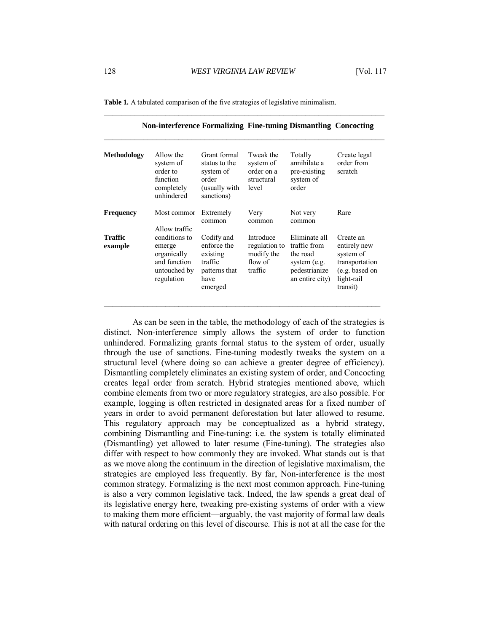\_\_\_\_\_\_\_\_\_\_\_\_\_\_\_\_\_\_\_\_\_\_\_\_\_\_\_\_\_\_\_\_\_\_\_\_\_\_\_\_\_\_\_\_\_\_\_\_\_\_\_\_\_\_\_\_\_\_\_\_\_\_\_\_

| Allow the<br>system of<br>order to<br>function<br>completely<br>unhindered           | Grant formal<br>status to the<br>system of<br>order<br>(usually with<br>sanctions)   | Tweak the<br>system of<br>order on a<br>structural<br>level    | Totally<br>annihilate a<br>pre-existing<br>system of<br>order                                 | Create legal<br>order from<br>scratch                                                                |
|--------------------------------------------------------------------------------------|--------------------------------------------------------------------------------------|----------------------------------------------------------------|-----------------------------------------------------------------------------------------------|------------------------------------------------------------------------------------------------------|
| Most commor                                                                          | Extremely<br>common                                                                  | Very<br>common                                                 | Not very<br>common                                                                            | Rare                                                                                                 |
| conditions to<br>emerge<br>organically<br>and function<br>untouched by<br>regulation | Codify and<br>enforce the<br>existing<br>traffic<br>patterns that<br>have<br>emerged | Introduce<br>regulation to<br>modify the<br>flow of<br>traffic | Eliminate all<br>traffic from<br>the road<br>system (e.g.<br>pedestrianize<br>an entire city) | Create an<br>entirely new<br>system of<br>transportation<br>(e.g. based on<br>light-rail<br>transit) |
|                                                                                      | <b>Methodology</b><br>Allow traffic                                                  |                                                                |                                                                                               | <b>Non-interference Formalizing Fine-tuning Dismantling Concocting</b>                               |

**Table 1.** A tabulated comparison of the five strategies of legislative minimalism.

As can be seen in the table, the methodology of each of the strategies is distinct. Non-interference simply allows the system of order to function unhindered. Formalizing grants formal status to the system of order, usually through the use of sanctions. Fine-tuning modestly tweaks the system on a structural level (where doing so can achieve a greater degree of efficiency). Dismantling completely eliminates an existing system of order, and Concocting creates legal order from scratch. Hybrid strategies mentioned above, which combine elements from two or more regulatory strategies, are also possible. For example, logging is often restricted in designated areas for a fixed number of years in order to avoid permanent deforestation but later allowed to resume. This regulatory approach may be conceptualized as a hybrid strategy, combining Dismantling and Fine-tuning: i.e. the system is totally eliminated (Dismantling) yet allowed to later resume (Fine-tuning). The strategies also differ with respect to how commonly they are invoked. What stands out is that as we move along the continuum in the direction of legislative maximalism, the strategies are employed less frequently. By far, Non-interference is the most common strategy. Formalizing is the next most common approach. Fine-tuning is also a very common legislative tack. Indeed, the law spends a great deal of its legislative energy here, tweaking pre-existing systems of order with a view to making them more efficient—arguably, the vast majority of formal law deals with natural ordering on this level of discourse. This is not at all the case for the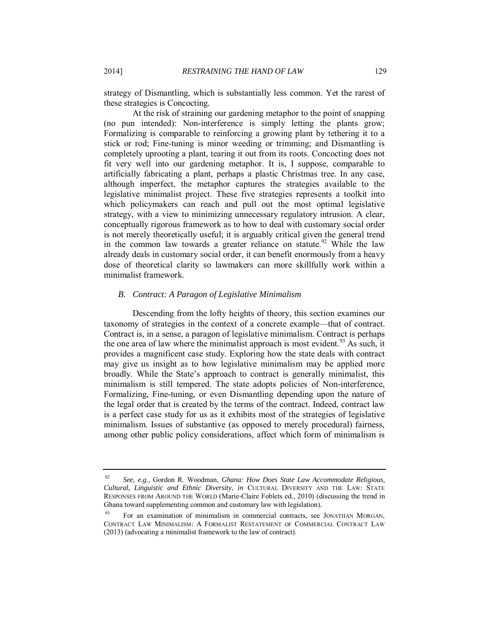strategy of Dismantling, which is substantially less common. Yet the rarest of these strategies is Concocting.

At the risk of straining our gardening metaphor to the point of snapping (no pun intended): Non-interference is simply letting the plants grow; Formalizing is comparable to reinforcing a growing plant by tethering it to a stick or rod; Fine-tuning is minor weeding or trimming; and Dismantling is completely uprooting a plant, tearing it out from its roots. Concocting does not fit very well into our gardening metaphor. It is, I suppose, comparable to artificially fabricating a plant, perhaps a plastic Christmas tree. In any case, although imperfect, the metaphor captures the strategies available to the legislative minimalist project. These five strategies represents a toolkit into which policymakers can reach and pull out the most optimal legislative strategy, with a view to minimizing unnecessary regulatory intrusion. A clear, conceptually rigorous framework as to how to deal with customary social order is not merely theoretically useful; it is arguably critical given the general trend in the common law towards a greater reliance on statute.<sup>92</sup> While the law already deals in customary social order, it can benefit enormously from a heavy dose of theoretical clarity so lawmakers can more skillfully work within a minimalist framework.

#### *B. Contract: A Paragon of Legislative Minimalism*

Descending from the lofty heights of theory, this section examines our taxonomy of strategies in the context of a concrete example—that of contract. Contract is, in a sense, a paragon of legislative minimalism. Contract is perhaps the one area of law where the minimalist approach is most evident.<sup>93</sup> As such, it provides a magnificent case study. Exploring how the state deals with contract may give us insight as to how legislative minimalism may be applied more broadly. While the State's approach to contract is generally minimalist, this minimalism is still tempered. The state adopts policies of Non-interference, Formalizing, Fine-tuning, or even Dismantling depending upon the nature of the legal order that is created by the terms of the contract. Indeed, contract law is a perfect case study for us as it exhibits most of the strategies of legislative minimalism. Issues of substantive (as opposed to merely procedural) fairness, among other public policy considerations, affect which form of minimalism is

<sup>92</sup> *See, e.g.*, Gordon R. Woodman, *Ghana: How Does State Law Accommodate Religious, Cultural, Linguistic and Ethnic Diversity*, *in* CULTURAL DIVERSITY AND THE LAW: STATE RESPONSES FROM AROUND THE WORLD (Marie-Claire Foblets ed., 2010) (discussing the trend in Ghana toward supplementing common and customary law with legislation)*.*

<sup>93</sup> For an examination of minimalism in commercial contracts, see JONATHAN MORGAN, CONTRACT LAW MINIMALISM: A FORMALIST RESTATEMENT OF COMMERCIAL CONTRACT LAW (2013) (advocating a minimalist framework to the law of contract).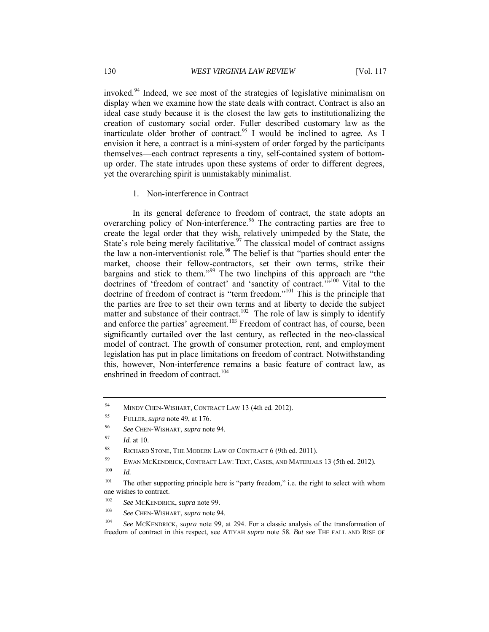invoked.<sup>94</sup> Indeed, we see most of the strategies of legislative minimalism on display when we examine how the state deals with contract. Contract is also an ideal case study because it is the closest the law gets to institutionalizing the creation of customary social order. Fuller described customary law as the inarticulate older brother of contract.<sup>95</sup> I would be inclined to agree. As I envision it here, a contract is a mini-system of order forged by the participants themselves—each contract represents a tiny, self-contained system of bottomup order. The state intrudes upon these systems of order to different degrees, yet the overarching spirit is unmistakably minimalist.

#### 1. Non-interference in Contract

In its general deference to freedom of contract, the state adopts an overarching policy of Non-interference.<sup>96</sup> The contracting parties are free to create the legal order that they wish, relatively unimpeded by the State, the State's role being merely facilitative.<sup>97</sup> The classical model of contract assigns the law a non-interventionist role.<sup>98</sup> The belief is that "parties should enter the market, choose their fellow-contractors, set their own terms, strike their bargains and stick to them."<sup>99</sup> The two linchpins of this approach are "the doctrines of 'freedom of contract' and 'sanctity of contract.'"<sup>100</sup> Vital to the doctrine of freedom of contract is "term freedom."<sup>101</sup> This is the principle that the parties are free to set their own terms and at liberty to decide the subject matter and substance of their contract.<sup>102</sup> The role of law is simply to identify and enforce the parties' agreement.<sup>103</sup> Freedom of contract has, of course, been significantly curtailed over the last century, as reflected in the neo-classical model of contract. The growth of consumer protection, rent, and employment legislation has put in place limitations on freedom of contract. Notwithstanding this, however, Non-interference remains a basic feature of contract law, as enshrined in freedom of contract.<sup>104</sup>

100 *Id.*

<sup>&</sup>lt;sup>94</sup> MINDY CHEN-WISHART, CONTRACT LAW 13 (4th ed. 2012).

<sup>95</sup> FULLER, *supra* note 49, at 176.

<sup>96</sup> *See* CHEN-WISHART, *supra* note 94.

<sup>97</sup> *Id.* at 10.

<sup>98</sup> RICHARD STONE, THE MODERN LAW OF CONTRACT 6 (9th ed. 2011).

<sup>99</sup> EWAN MCKENDRICK, CONTRACT LAW: TEXT, CASES, AND MATERIALS 13 (5th ed. 2012).

<sup>&</sup>lt;sup>101</sup> The other supporting principle here is "party freedom," i.e. the right to select with whom one wishes to contract.

<sup>102</sup> *See* MCKENDRICK, *supra* note 99.

<sup>103</sup> *See* CHEN-WISHART, *supra* note 94.

<sup>104</sup> *See* MCKENDRICK, *supra* note 99, at 294. For a classic analysis of the transformation of freedom of contract in this respect, see ATIYAH *supra* note 58. *But see* THE FALL AND RISE OF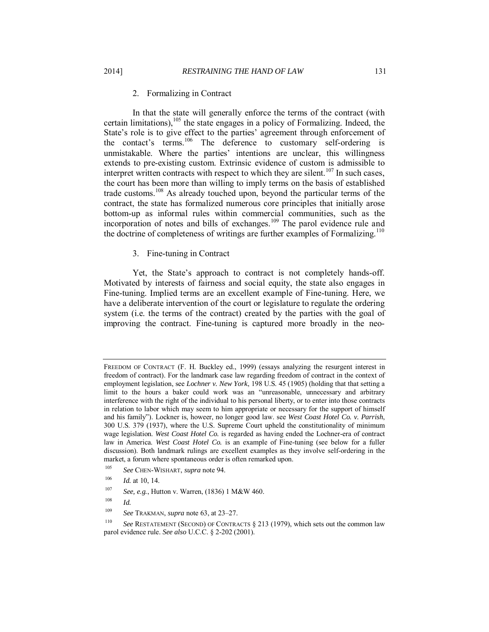#### 2. Formalizing in Contract

In that the state will generally enforce the terms of the contract (with certain limitations), $105$  the state engages in a policy of Formalizing. Indeed, the State's role is to give effect to the parties' agreement through enforcement of the contact's terms.<sup>106</sup> The deference to customary self-ordering is unmistakable. Where the parties' intentions are unclear, this willingness extends to pre-existing custom. Extrinsic evidence of custom is admissible to interpret written contracts with respect to which they are silent.<sup>107</sup> In such cases, the court has been more than willing to imply terms on the basis of established trade customs.<sup>108</sup> As already touched upon, beyond the particular terms of the contract, the state has formalized numerous core principles that initially arose bottom-up as informal rules within commercial communities, such as the incorporation of notes and bills of exchanges.<sup>109</sup> The parol evidence rule and the doctrine of completeness of writings are further examples of Formalizing.<sup>110</sup>

#### 3. Fine-tuning in Contract

Yet, the State's approach to contract is not completely hands-off. Motivated by interests of fairness and social equity, the state also engages in Fine-tuning. Implied terms are an excellent example of Fine-tuning. Here, we have a deliberate intervention of the court or legislature to regulate the ordering system (i.e. the terms of the contract) created by the parties with the goal of improving the contract. Fine-tuning is captured more broadly in the neo-

FREEDOM OF CONTRACT (F. H. Buckley ed., 1999) (essays analyzing the resurgent interest in freedom of contract). For the landmark case law regarding freedom of contract in the context of employment legislation, see *Lochner v. New York*, 198 U.S. 45 (1905) (holding that that setting a limit to the hours a baker could work was an "unreasonable, unnecessary and arbitrary interference with the right of the individual to his personal liberty, or to enter into those contracts in relation to labor which may seem to him appropriate or necessary for the support of himself and his family"). Lockner is, howeer, no longer good law. see *West Coast Hotel Co. v. Parrish*, 300 U.S. 379 (1937), where the U.S. Supreme Court upheld the constitutionality of minimum wage legislation. *West Coast Hotel Co.* is regarded as having ended the Lochner-era of contract law in America. *West Coast Hotel Co.* is an example of Fine-tuning (see below for a fuller discussion). Both landmark rulings are excellent examples as they involve self-ordering in the market, a forum where spontaneous order is often remarked upon.

<sup>105</sup> *See* CHEN-WISHART, *supra* note 94.

<sup>106</sup> *Id.* at 10, 14.

<sup>107</sup> *See, e.g.*, Hutton v. Warren, (1836) 1 M&W 460.

<sup>108</sup> *Id.* 

<sup>109</sup> *See* TRAKMAN, *supra* note 63, at 23–27.

<sup>110</sup> *See* RESTATEMENT (SECOND) OF CONTRACTS § 213 (1979), which sets out the common law parol evidence rule. *See also* U.C.C. § 2-202 (2001).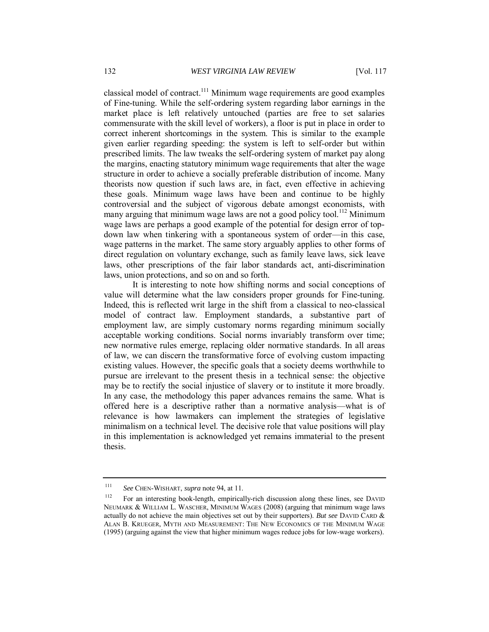classical model of contract.<sup>111</sup> Minimum wage requirements are good examples of Fine-tuning. While the self-ordering system regarding labor earnings in the market place is left relatively untouched (parties are free to set salaries commensurate with the skill level of workers), a floor is put in place in order to correct inherent shortcomings in the system. This is similar to the example given earlier regarding speeding: the system is left to self-order but within prescribed limits. The law tweaks the self-ordering system of market pay along the margins, enacting statutory minimum wage requirements that alter the wage structure in order to achieve a socially preferable distribution of income. Many theorists now question if such laws are, in fact, even effective in achieving these goals. Minimum wage laws have been and continue to be highly controversial and the subject of vigorous debate amongst economists, with many arguing that minimum wage laws are not a good policy tool.<sup>112</sup> Minimum wage laws are perhaps a good example of the potential for design error of topdown law when tinkering with a spontaneous system of order—in this case, wage patterns in the market. The same story arguably applies to other forms of direct regulation on voluntary exchange, such as family leave laws, sick leave laws, other prescriptions of the fair labor standards act, anti-discrimination laws, union protections, and so on and so forth.

It is interesting to note how shifting norms and social conceptions of value will determine what the law considers proper grounds for Fine-tuning. Indeed, this is reflected writ large in the shift from a classical to neo-classical model of contract law. Employment standards, a substantive part of employment law, are simply customary norms regarding minimum socially acceptable working conditions. Social norms invariably transform over time; new normative rules emerge, replacing older normative standards. In all areas of law, we can discern the transformative force of evolving custom impacting existing values. However, the specific goals that a society deems worthwhile to pursue are irrelevant to the present thesis in a technical sense: the objective may be to rectify the social injustice of slavery or to institute it more broadly. In any case, the methodology this paper advances remains the same. What is offered here is a descriptive rather than a normative analysis—what is of relevance is how lawmakers can implement the strategies of legislative minimalism on a technical level. The decisive role that value positions will play in this implementation is acknowledged yet remains immaterial to the present thesis.

<sup>111</sup> *See* CHEN-WISHART, *supra* note 94, at 11.

<sup>&</sup>lt;sup>112</sup> For an interesting book-length, empirically-rich discussion along these lines, see DAVID NEUMARK & WILLIAM L. WASCHER, MINIMUM WAGES (2008) (arguing that minimum wage laws actually do not achieve the main objectives set out by their supporters). *But see* DAVID CARD & ALAN B. KRUEGER, MYTH AND MEASUREMENT: THE NEW ECONOMICS OF THE MINIMUM WAGE (1995) (arguing against the view that higher minimum wages reduce jobs for low-wage workers).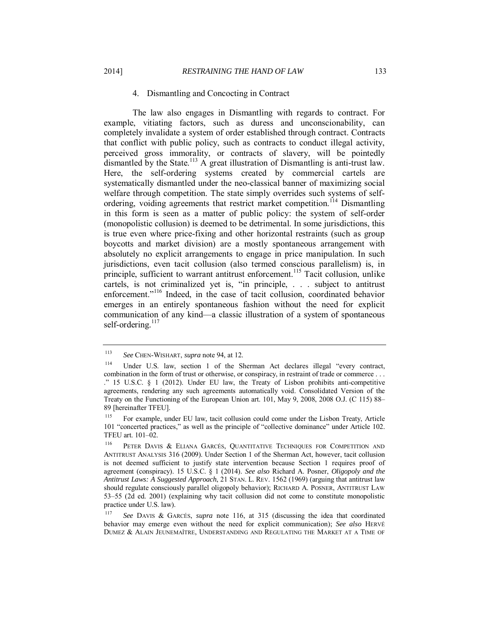#### 4. Dismantling and Concocting in Contract

The law also engages in Dismantling with regards to contract. For example, vitiating factors, such as duress and unconscionability, can completely invalidate a system of order established through contract. Contracts that conflict with public policy, such as contracts to conduct illegal activity, perceived gross immorality, or contracts of slavery, will be pointedly dismantled by the State.<sup>113</sup> A great illustration of Dismantling is anti-trust law. Here, the self-ordering systems created by commercial cartels are systematically dismantled under the neo-classical banner of maximizing social welfare through competition. The state simply overrides such systems of selfordering, voiding agreements that restrict market competition.<sup>114</sup> Dismantling in this form is seen as a matter of public policy: the system of self-order (monopolistic collusion) is deemed to be detrimental. In some jurisdictions, this is true even where price-fixing and other horizontal restraints (such as group boycotts and market division) are a mostly spontaneous arrangement with absolutely no explicit arrangements to engage in price manipulation. In such jurisdictions, even tacit collusion (also termed conscious parallelism) is, in principle, sufficient to warrant antitrust enforcement.<sup>115</sup> Tacit collusion, unlike cartels, is not criminalized yet is, "in principle, . . . subject to antitrust enforcement."<sup>116</sup> Indeed, in the case of tacit collusion, coordinated behavior emerges in an entirely spontaneous fashion without the need for explicit communication of any kind—a classic illustration of a system of spontaneous self-ordering. $117$ 

<sup>113</sup> *See* CHEN-WISHART, *supra* note 94, at 12.

<sup>114</sup> Under U.S. law, section 1 of the Sherman Act declares illegal "every contract, combination in the form of trust or otherwise, or conspiracy, in restraint of trade or commerce . . . ." 15 U.S.C. § 1 (2012). Under EU law, the Treaty of Lisbon prohibits anti-competitive agreements, rendering any such agreements automatically void. Consolidated Version of the Treaty on the Functioning of the European Union art. 101, May 9, 2008, 2008 O.J. (C 115) 88– 89 [hereinafter TFEU].

<sup>115</sup> For example, under EU law, tacit collusion could come under the Lisbon Treaty, Article 101 "concerted practices," as well as the principle of "collective dominance" under Article 102. TFEU art. 101–02.

<sup>116</sup> PETER DAVIS & ELIANA GARCÉS, QUANTITATIVE TECHNIQUES FOR COMPETITION AND ANTITRUST ANALYSIS 316 (2009). Under Section 1 of the Sherman Act, however, tacit collusion is not deemed sufficient to justify state intervention because Section 1 requires proof of agreement (conspiracy). 15 U.S.C. § 1 (2014). *See also* Richard A. Posner, *Oligopoly and the Antitrust Laws: A Suggested Approach*, 21 STAN. L. REV. 1562 (1969) (arguing that antitrust law should regulate consciously parallel oligopoly behavior); RICHARD A. POSNER, ANTITRUST LAW 53–55 (2d ed. 2001) (explaining why tacit collusion did not come to constitute monopolistic practice under U.S. law).

<sup>117</sup> *See* DAVIS & GARCÉS, *supra* note 116, at 315 (discussing the idea that coordinated behavior may emerge even without the need for explicit communication); *See also* HERVÉ DUMEZ & ALAIN JEUNEMAÎTRE, UNDERSTANDING AND REGULATING THE MARKET AT A TIME OF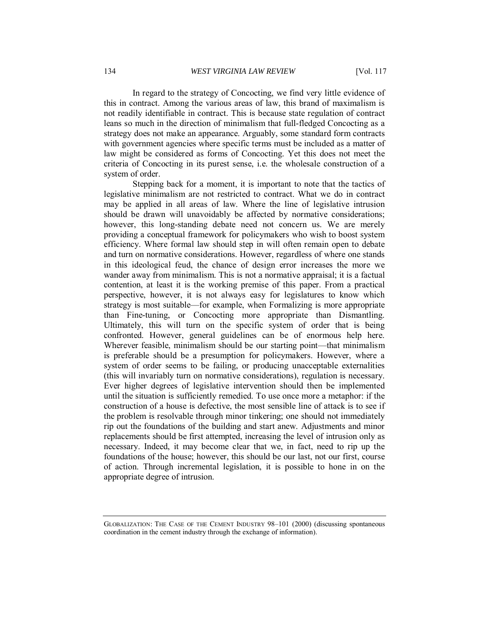In regard to the strategy of Concocting, we find very little evidence of this in contract. Among the various areas of law, this brand of maximalism is not readily identifiable in contract. This is because state regulation of contract leans so much in the direction of minimalism that full-fledged Concocting as a strategy does not make an appearance. Arguably, some standard form contracts with government agencies where specific terms must be included as a matter of law might be considered as forms of Concocting. Yet this does not meet the criteria of Concocting in its purest sense, i.e. the wholesale construction of a system of order.

Stepping back for a moment, it is important to note that the tactics of legislative minimalism are not restricted to contract. What we do in contract may be applied in all areas of law. Where the line of legislative intrusion should be drawn will unavoidably be affected by normative considerations; however, this long-standing debate need not concern us. We are merely providing a conceptual framework for policymakers who wish to boost system efficiency. Where formal law should step in will often remain open to debate and turn on normative considerations. However, regardless of where one stands in this ideological feud, the chance of design error increases the more we wander away from minimalism. This is not a normative appraisal; it is a factual contention, at least it is the working premise of this paper. From a practical perspective, however, it is not always easy for legislatures to know which strategy is most suitable—for example, when Formalizing is more appropriate than Fine-tuning, or Concocting more appropriate than Dismantling. Ultimately, this will turn on the specific system of order that is being confronted. However, general guidelines can be of enormous help here. Wherever feasible, minimalism should be our starting point—that minimalism is preferable should be a presumption for policymakers. However, where a system of order seems to be failing, or producing unacceptable externalities (this will invariably turn on normative considerations), regulation is necessary. Ever higher degrees of legislative intervention should then be implemented until the situation is sufficiently remedied. To use once more a metaphor: if the construction of a house is defective, the most sensible line of attack is to see if the problem is resolvable through minor tinkering; one should not immediately rip out the foundations of the building and start anew. Adjustments and minor replacements should be first attempted, increasing the level of intrusion only as necessary. Indeed, it may become clear that we, in fact, need to rip up the foundations of the house; however, this should be our last, not our first, course of action. Through incremental legislation, it is possible to hone in on the appropriate degree of intrusion.

GLOBALIZATION: THE CASE OF THE CEMENT INDUSTRY 98–101 (2000) (discussing spontaneous coordination in the cement industry through the exchange of information).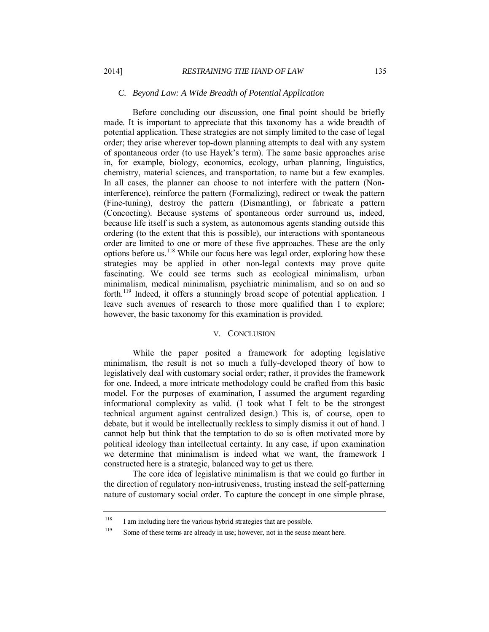#### *C. Beyond Law: A Wide Breadth of Potential Application*

Before concluding our discussion, one final point should be briefly made. It is important to appreciate that this taxonomy has a wide breadth of potential application. These strategies are not simply limited to the case of legal order; they arise wherever top-down planning attempts to deal with any system of spontaneous order (to use Hayek's term). The same basic approaches arise in, for example, biology, economics, ecology, urban planning, linguistics, chemistry, material sciences, and transportation, to name but a few examples. In all cases, the planner can choose to not interfere with the pattern (Noninterference), reinforce the pattern (Formalizing), redirect or tweak the pattern (Fine-tuning), destroy the pattern (Dismantling), or fabricate a pattern (Concocting). Because systems of spontaneous order surround us, indeed, because life itself is such a system, as autonomous agents standing outside this ordering (to the extent that this is possible), our interactions with spontaneous order are limited to one or more of these five approaches. These are the only options before us.<sup>118</sup> While our focus here was legal order, exploring how these strategies may be applied in other non-legal contexts may prove quite fascinating. We could see terms such as ecological minimalism, urban minimalism, medical minimalism, psychiatric minimalism, and so on and so forth.<sup>119</sup> Indeed, it offers a stunningly broad scope of potential application. I leave such avenues of research to those more qualified than I to explore; however, the basic taxonomy for this examination is provided.

### V. CONCLUSION

While the paper posited a framework for adopting legislative minimalism, the result is not so much a fully-developed theory of how to legislatively deal with customary social order; rather, it provides the framework for one. Indeed, a more intricate methodology could be crafted from this basic model. For the purposes of examination, I assumed the argument regarding informational complexity as valid. (I took what I felt to be the strongest technical argument against centralized design.) This is, of course, open to debate, but it would be intellectually reckless to simply dismiss it out of hand. I cannot help but think that the temptation to do so is often motivated more by political ideology than intellectual certainty. In any case, if upon examination we determine that minimalism is indeed what we want, the framework I constructed here is a strategic, balanced way to get us there.

The core idea of legislative minimalism is that we could go further in the direction of regulatory non-intrusiveness, trusting instead the self-patterning nature of customary social order. To capture the concept in one simple phrase,

<sup>&</sup>lt;sup>118</sup> I am including here the various hybrid strategies that are possible.

<sup>&</sup>lt;sup>119</sup> Some of these terms are already in use; however, not in the sense meant here.